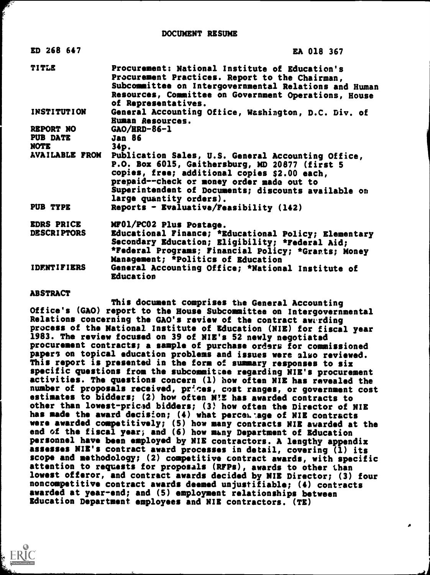| ED 268 647                              | <b>EA 018 367</b>                                                                                                                                                                                                                                                                   |
|-----------------------------------------|-------------------------------------------------------------------------------------------------------------------------------------------------------------------------------------------------------------------------------------------------------------------------------------|
| <b>TITLE</b>                            | Procurement: National Institute of Education's<br>Procurement Practices. Report to the Chairman,<br>Subcommittee on Intergovernmental Relations and Human<br>Resources, Committee on Government Operations, House<br>of Representatives.                                            |
| <b>INSTITUTION</b>                      | General Accounting Office, Washington, D.C. Div. of<br><b>Human Resources.</b>                                                                                                                                                                                                      |
| REPORT NO                               | $GAO/RRD-86-1$                                                                                                                                                                                                                                                                      |
| PUB DATE                                | <b>Jan 86</b>                                                                                                                                                                                                                                                                       |
| NOTE                                    | $34p$ .                                                                                                                                                                                                                                                                             |
| <b>AVAILABLE FROM</b>                   | Publication Sales, U.S. General Accounting Office,<br>P.O. Box 6015, Gaithersburg, MD 20877 (first 5<br>copies, free; additional copies \$2.00 each,<br>prepaid--check or money order made out to<br>Superintendent of Documents; discounts available on<br>large quantity orders). |
| PUB TYPE                                | Reports - Evaluative/Feasibility $(142)$                                                                                                                                                                                                                                            |
| <b>EDRS PRICE</b><br><b>DESCRIPTORS</b> | MF01/PC02 Plus Postage.<br>Educational Finance; *Educational Policy; Elementary<br>Secondary Education; Eligibility; *Federal Aid;<br>*Federal Programs; Financial Policy; *Grants; Money<br>Management; *Politics of Education                                                     |
| <b>IDENTIFIERS</b>                      | General Accounting Office; *National Institute of<br><b>Education</b>                                                                                                                                                                                                               |

### **ABSTRACT**

This document comprises the General Accounting Office's (GAO) report to the House Subcommittee on Intergovernmental Relations concerning the GAO's review of the contract awarding process of the National Institute of Education (NIE) for fiscal year 1983. The review focused on 39 of NIE's 52 newly negotiated procurement contracts; a sample of purchase orders for commissioned papers on topical education problems and issues were also reviewed. This report is presented in the form of summary responses to six specific questions from the subcommitcee regarding NIE's procurement activities. The questions concern (1) how often NIE has revealed the number of proposals received, prices, cost ranges, or government cost estimates to bidders; (2) how often WE has awarded contracts to other than lowest-pricad bidders; (3, how often the Director of NIE has made the award decision; (4) what perceL age of NIE contracts were awarded competitively; (5) how many contracts NIE awarded at the end of the fiscal year; and (6) how many Department of Education personnel have been employed by NIE contractors. A lengthy appendix assesses NIE's contract award processes in detail, covering (1) its scope and methodology; (2) competitive contract awards, with specific attention to requests for proposals (RFPs), awards to other than lowest offeror, and contract awards decided by NIB Director; (3) four noncompetitive contract awards deemed unjustifiable; (4) contracts awarded at year-end; and (5) employment relationships between Education Department employees and NIB contractors. (TB)

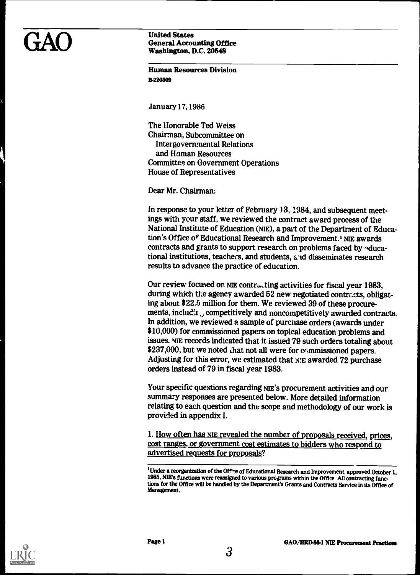### GAO United States<br>General Accounting Of<br>Washington, D.C. 2054 General Accounting Office Washington, D.C. 20548

Human Resources Division **B.220309** 

January17,1986

The Honorable Ted Weiss Chairman, Subcommittee on Intergovernmental Relations and Human Resources Committee on Government Operations House of Representatives

Dear Mr. Chairman:

In response to your letter of February 13, 1984, and subsequent meetings with your staff, we reviewed the contract award process of the National Institute of Education (NIE), a part of the Department of Education's Office of Educational Research and Improvement.' ME awards contracts and grants to support research on problems faced by aducational institutions, teachers, and students, and disseminates research results to advance the practice of education.

Our review focused on NIE contracting activities for fiscal year 1983, during which the agency awarded 52 new negotiated contracts, obligating about \$22.5 million for them. We reviewed 39 of these procurements, includin, competitively and noncompetitively awarded contracts. In addition, we reviewed a sample of purchase orders (awards under \$10,000) for commissioned papers on topical education problems and issues. ME records indicated that it issued 79 such orders totaling about \$237,000, but we noted that not all were for commissioned papers. Adjusting for this error, we estimated that N.E awarded 72 purchase orders instead of 79 in fiscal year 1983.

Your specific questions regarding NIE's procurement activities and our summary responses are presented below. More detailed information relating to each question and the scope and methodology of our work is provided in appendix I.

1. How often has NIE revealed the number of proposals received, prices, cost ranges, or government cost estimates to bidders who respond to advertised requests for proposals?

<sup>1</sup>Under a reorganization of the Off'xe of Educational Research and Improvement, approved October 1, 1985, ME's functions were reassigned to various programs within the Office. All contracting functions for the Office will be handled by the Department's Grants and Contracts Service in its Office of Management.

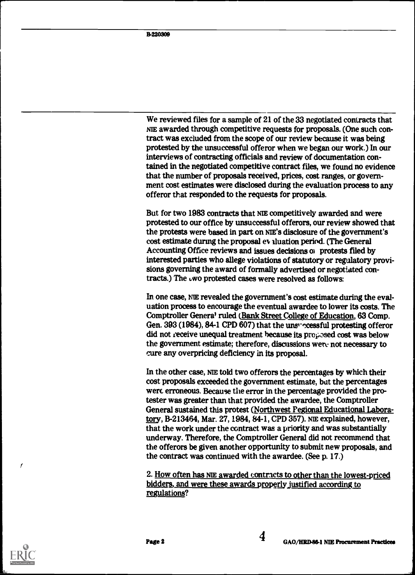We reviewed files for a sample of 21 of the 33 negotiated contracts that NIE awarded through competitive requests for proposals. (One such contract was excluded from the scope of our review because it was being protested by the unsuccessful offeror when we began our work.) In our interviews of contracting officials and review of documentation contained in the negotiated competitive contract files, we found no evidence that the number of proposals received, prices, cost ranges, or government cost estimates were disclosed during the evaluation process to any offeror that responded to the requests for proposals.

But for two 1983 contracts that NIE competitively awarded and were protested to our office by unsuccessful offerors, our review showed that the protests were based in part on NIE'S disclosure of the government's cost estimate during the proposal ev, aluation period. (The General Accounting Office reviews and issues decisions of protests filed by interested parties who allege violations of statutory or regulatory provisions governing the award of formally advertised or negotiated contracts.) The uwo protested cases were resolved as follows:

In one case, ME revealed the government's cost estimate during the evaluation process to encourage the eventual awardee to lower its costs. The Comptroller Genera' ruled (Bank Street College of Education, 63 Comp. Gen. 393 (1984), 84-1 CPD 607) that the unsingless full protesting offeror did not receive unequal treatment because its proposed cost was below the government estimate; therefore, discussions wen: not necessary to cure any overpricing deficiency in its proposal.

In the other case, NIE told two offerors the percentages by which their cost proposals exceeded the government estimate, but the percentages were erroneous. Because the error in the percentage provided the protester was greater than that provided the awardee, the Comptroller General sustained this protest (Northwest Pegional Educational Laboratory, B-213464, Mar. 27, 1984, 84-1, CPD 357). NIE explained, however, that the work under the contract was a priority and was substantially underway. Therefore, the Comptroller General did not recommend that the offerors be given another opportunity to submit new proposals, and the contract was continued with the awardee. (See p. 17.)

2. How often has NIE awarded contracts to other than the lowest-priced bidders, and were these awards properly justified according to regulations?



7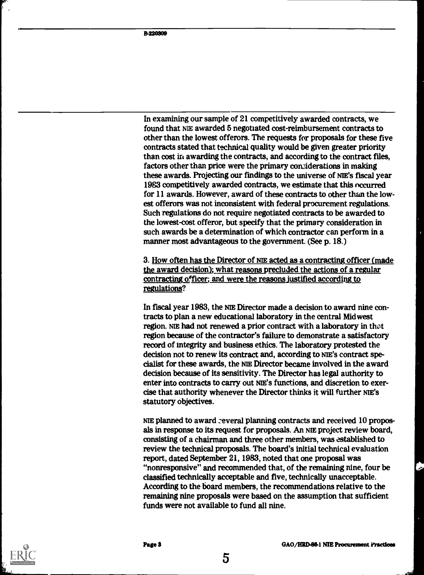In examining our sample of 21 competitively awarded contracts, we found that NIE awarded 5 negotiated cost-reimbursement contracts to other than the lowest offerors. The requests for proposals for these five contracts stated that technical quality would be given greater priority than cost in awarding the contracts, and according to the contract files, factors other than price were the primary considerations in making these awards. Projecting our findings to the universe of NIE'S fiscal year 1983 competitively awarded contracts, we estimate that this occurred for 11 awards. However, award of these contracts to other than the lowest offerors was not inconsistent with federal procurement regulations. Such regulations do not require negotiated contracts to be awarded to the lowest-cost offeror, but specify that the primary consideration in such awards be a determination of which contractor can perform in a manner most advantageous to the government. (See p. 18.)

3. How often has the Director of NIE acted as a contracting officer (made the award decision); what reasons precluded the actions of a regular contracting officer; and were the reasons justified according to regulations?

In fiscal year 1983, the ME Director made a decision to award nine contracts to plan a new educational laboratory in the central Midwest region. NIE had not renewed a prior contract with a laboratory in thot region because of the contractor's failure to demonstrate a satisfactory record of integrity and business ethics. The laboratory protested the decision not to renew its contract and, according to NIE's contract specialist for these awards, the ME Director became involved in the award decision because of its sensitivity. The Director has legal authority to enter into contracts to carry out ME'S functions, and discretion to exercise that authority whenever the Director thinks it will further NIE'S statutory objectives.

NIE planned to award :everal planning contracts and received 10 proposals in response to its request for proposals. An NIE project review board, consisting of a chairman and three other members, was established to review the technical proposals. The board's initial technical evaluation report, dated September 21, 1983, noted that one proposal was "nonresponsive" and recommended that, of the remaining nine, four be classified technically acceptable and five, technically unacceptable. According to the board members, the recommendations relative to the remaining nine proposals were based on the assumption that sufficient funds were not available to fund all nine.

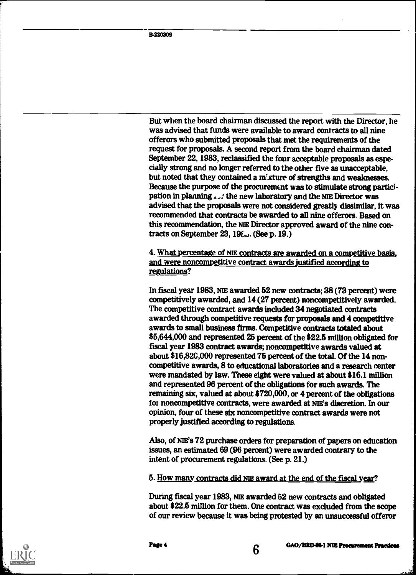But when the board chairman discussed the report with the Director, he was advised that funds were available to award contracts to all nine offerors who submitted proposals that met the requirements of the request for proposals. A second report from the board chairman dated September 22, 1983, reclassified the four acceptable proposals as especially strong and no longer referred to the other five as unacceptable, but noted that they contained a m'xture of strengths and weaknesses. Because the purpose of the procurement was to stimulate strong participation in planning  $\mathcal{L}$ : the new laboratory and the NIE Director was advised that the proposals were not considered greatly dissimilar, it was recommended that contracts be awarded to all nine offerors. Based on this recommendation, the NIE Director approved award of the nine contracts on September 23,  $19\xi$ . (See p. 19.)

4. What percentage of NIE contracts are awarded on a competitive basis, and were noncompetitive contract awards justified according to regulations?

In fiscal year 1983, NIE awarded 52 new contracts; 38 (73 percent) were competitively awarded, and 14 (27 percent) noncompetitively awarded. The competitive contract awards included 34 negotiated contracts awarded through competitive requests for proposals and 4 competitive awards to small business firms. Competitive contracts totaled about \$5,644,000 and represented 25 percent of the \$22.5 million obligated for fiscal year 1983 contract awards; noncompetitive awards valued at about \$16,820,000 represented 75 percent of the total. Of the 14 noncompetitive awards, 8 to educational laboratories and a research center were mandated by law. These eight were valued at about \$16.1 million and represented 96 percent of the obligations for such awards. The remaining six, valued at about \$720,000, or 4 percent of the obligations foi noncompetitive contracts, were awarded at NIE'S discretion. In our opinion, four of these six noncompetitive contract awards were not properly justified according to regulations.

Also, of NIE'S 72 purchase orders for preparation of papers on education issues, an estimated 69 (96 percent) were awarded contrary to the intent of procurement regulations. (See p. 21.)

5. How many contracts did NIE award at the end of the fiscal year?

During fiscal year 1983, NIE awarded 52 new contracts and obligated about \$22.5 million for them. One contract was excluded from the scope of our review because it was being protested by an unsuccessful offeror



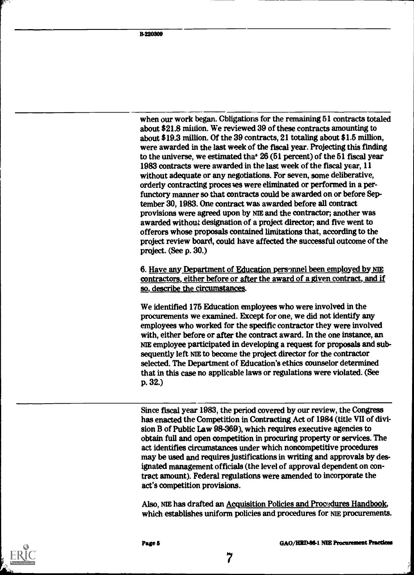when our work began. Cbligations for the remaining 51 contracts totaled about \$21.8 million. We reviewed 39 of these contracts amounting to about \$19.3 million. Of the 39 contracts, 21 totaling about \$1.5 million, were awarded in the last week of the fiscal year. Projecting this finding to the universe, we estimated that  $26(51)$  percent) of the 51 fiscal year 1983 contracts were awarded in the last week of the fiscal year, 11 without adequate or any negotiations. For seven, some deliberative, orderly contracting proces ves were eliminated or performed in a perfunctory manner so that contracts could be awarded on or before September 30, 1983. One contract was awarded before all contract provisions were agreed upon by NIE and the contractor; another was awarded without designation of a project director; and five went to offerors whose proposals contained limitations that, according to the project review board, could have affected the successful outcome of the project. (See p. 30.)

6. Have any Department of Education personnel been employed by NIE contractors, either before or after the award of a given contract, and if so, describe the circumstances.

We identified 175 Education employees who were involved in the procurements we examined. Except for one, we did not identify any employees who worked for the specific contractor they were involved with, either before or after the contract award. In the one instance, an NIE employee participated in developing a request for proposals and subsequently left ME to become the project director for the contractor selected. The Department of Education's ethics counselor determined that in this case no applicable laws or regulations were violated. (See p. 32.)

Since fiscal year 1983, the period covered by our review, the Congress has enacted the Competition in Contracting Act of 1984 (title VII of division B of Public Law 98-369), which requires executive agencies to obtain full and open competition in procuring property or services. The act identifies circumstances under which noncompetitive procedures may be used and requires justifications in writing and approvals by designated management officials (the level of approval dependent on contract amount). Federal regulations were amended to incorporate the act's competition provisions.

Also, NIE has drafted an Acquisition Policies and Procedures Handbook, which establishes uniform policies and procedures for NIE procurements.

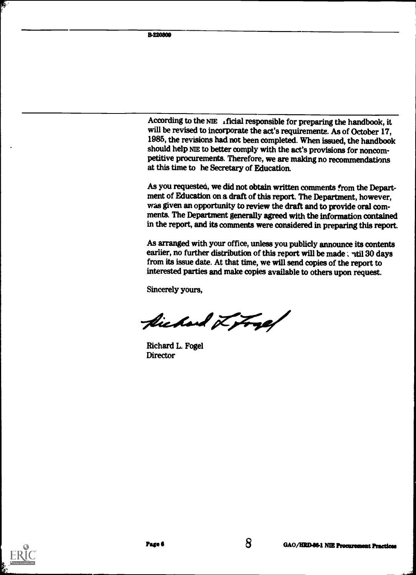According to the NIE  $\cdot$  ificial responsible for preparing the handbook, it will be revised to incorporate the act's requirements. As of October 17, 1985, the revisions had not been completed. When issued, the handbook should help NIE to better comply with the act's provisions for noncompetitive procurements. Therefore, we are making no recommendations at this time to he Secretary of Education.

As you requested, we did not obtain written comments from the Department of Education on a draft of this report. The Department, however, was given an opportunity to review the draft and to provide oral comments. The Department generally agreed with the information contained in the report, and its comments were considered in preparing this report.

As arranged with your office, unless you publicly announce its contents earlier, no further distribution of this report will be made : ntil 30 days from its issue date. At that time, we will send copies of the report to interested parties and make copies available to others upon request.

Sincerely yours,

fichand Litrap

Richard L. Fogel **Director** 



Ś.

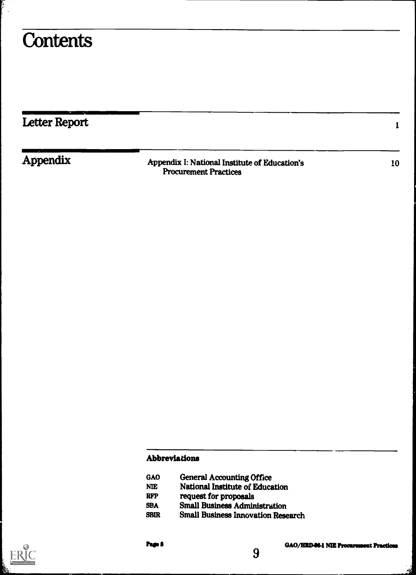## **Contents**

ŗ  $\sim$ 

| Letter Report |                                                                               |    |
|---------------|-------------------------------------------------------------------------------|----|
| Appendix      | Appendix I: National Institute of Education's<br><b>Procurement Practices</b> | 10 |

## Abbreviations

- GAO General Accounting Office<br>NE National Institute of Educa
- NIE National Institute of Education<br>RFP request for proposals
- RFP request for proposals<br>SBA Small Business Admin
- SBA Small Business Administration<br>SBIR Small Business Innovation Rese
- **Small Business Innovation Research**

9



ń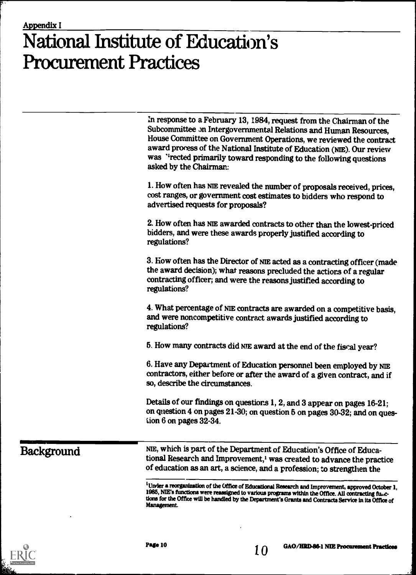# National Institute of Education's Procurement Practices

| In response to a February 13, 1984, request from the Chairman of the<br>Subcommittee on Intergovernmental Relations and Human Resources,<br>House Committee on Government Operations, we reviewed the contract<br>award process of the National Institute of Education (NIE). Our review<br>was "rected primarily toward responding to the following questions<br>asked by the Chairman: |
|------------------------------------------------------------------------------------------------------------------------------------------------------------------------------------------------------------------------------------------------------------------------------------------------------------------------------------------------------------------------------------------|
| 1. How often has NIE revealed the number of proposals received, prices,<br>cost ranges, or government cost estimates to bidders who respond to<br>advertised requests for proposals?                                                                                                                                                                                                     |
| 2. How often has NIE awarded contracts to other than the lowest-priced<br>bidders, and were these awards properly justified according to<br>regulations?                                                                                                                                                                                                                                 |
| 3. How often has the Director of NIE acted as a contracting officer (made<br>the award decision); what reasons precluded the actions of a regular<br>contracting officer; and were the reasons justified according to<br>regulations?                                                                                                                                                    |
| 4. What percentage of NIE contracts are awarded on a competitive basis,<br>and were noncompetitive contract awards justified according to<br>regulations?                                                                                                                                                                                                                                |
| 5. How many contracts did NIE award at the end of the fiscal year?                                                                                                                                                                                                                                                                                                                       |
| 6. Have any Department of Education personnel been employed by NIE<br>contractors, either before or after the award of a given contract, and if<br>so, describe the circumstances.                                                                                                                                                                                                       |
| Details of our findings on questions 1, 2, and 3 appear on pages 16-21;<br>on question 4 on pages 21-30; on question 5 on pages 30-32; and on ques-<br>tion 6 on pages 32-34.                                                                                                                                                                                                            |

Background NIE, which is part of the Department of Education's Office of Educational Research and Improvement,' was created to advance the practice of education as an art, a science, and a profession; to strengthen the

> <sup>1</sup>Under a reorganization of the Office of Educational Research and Improvement, approved October 1, 1985, NIE's functions were reassigned to various programs within the Office. All contracting fui,ctions for the Office will be handled by the Department's Grants and Contracts Service in its Office of Management.



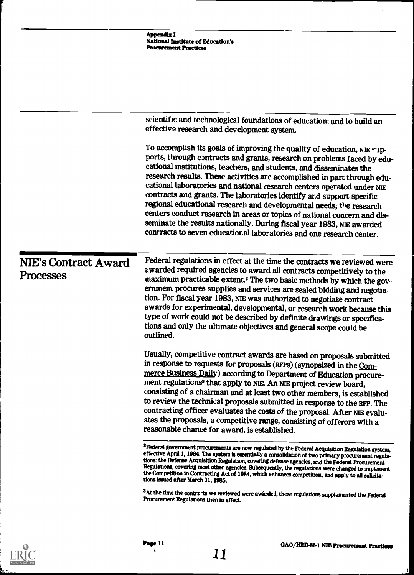|                                          | <b>Appendix I</b><br>National Institute of Education's<br><b>Procurement Practices</b>                                                                                                                                                                                                                                                                                                                                                                                                                                                                                                                                                                                                                                                                      |
|------------------------------------------|-------------------------------------------------------------------------------------------------------------------------------------------------------------------------------------------------------------------------------------------------------------------------------------------------------------------------------------------------------------------------------------------------------------------------------------------------------------------------------------------------------------------------------------------------------------------------------------------------------------------------------------------------------------------------------------------------------------------------------------------------------------|
|                                          |                                                                                                                                                                                                                                                                                                                                                                                                                                                                                                                                                                                                                                                                                                                                                             |
|                                          | scientific and technological foundations of education; and to build an<br>effective research and development system.                                                                                                                                                                                                                                                                                                                                                                                                                                                                                                                                                                                                                                        |
|                                          | To accomplish its goals of improving the quality of education, NIE "1p-<br>ports, through contracts and grants, research on problems faced by edu-<br>cational institutions, teachers, and students, and disseminates the<br>research results. These activities are accomplished in part through edu-<br>cational laboratories and national research centers operated under NIE<br>contracts and grants. The laboratories identify and support specific<br>regional educational research and developmental needs; the research<br>centers conduct research in areas or topics of national concern and dis-<br>seminate the results nationally. During fiscal year 1983, NIE awarded<br>contracts to seven educational laboratories and one research center. |
| <b>NIE's Contract Award</b><br>Processes | Federal regulations in effect at the time the contracts we reviewed were<br>awarded required agencies to award all contracts competitively to the<br>maximum practicable extent. <sup>2</sup> The two basic methods by which the gov-<br>ernment procures supplies and services are sealed bidding and negotia-<br>tion. For fiscal year 1983, NIE was authorized to negotiate contract<br>awards for experimental, developmental, or research work because this<br>type of work could not be described by definite drawings or specifica-<br>tions and only the ultimate objectives and general scope could be<br>outlined.                                                                                                                                |
|                                          | Usually, competitive contract awards are based on proposals submitted<br>in response to requests for proposals (RFPS) (synopsized in the Com-<br>merce Business Daily) according to Department of Education procure-<br>ment regulations <sup>3</sup> that apply to NIE. An NIE project review board,<br>consisting of a chairman and at least two other members, is established<br>to review the technical proposals submitted in response to the RFP. The<br>contracting officer evaluates the costs of the proposal. After NIE evalu-<br>ates the proposals, a competitive range, consisting of offerors with a<br>reasonable chance for award, is established.                                                                                          |
|                                          | <sup>2</sup> Feder» government procurements are now regulated by the Federa! Acquisition Regulation system,<br>effective April 1, 1984. The system is essentially a consolidation of two primary procurement regula-<br>tions: the Defense Acquisition Regulation, covering defense agencies, and the Federal Procurement<br>Regulations, covering most other agencies. Subsequently, the regulations were changed to implement<br>the Competition in Contracting Act of 1984, which enhances competition, and apply to all solicita-<br>tions issued after March 31, 1985.                                                                                                                                                                                 |
|                                          | <sup>3</sup> At the time the contrants we reviewed were awarded, these regulations supplemented the Federal<br>Procurement Regulations then in effect.                                                                                                                                                                                                                                                                                                                                                                                                                                                                                                                                                                                                      |



 $\ddot{\phantom{1}}$ 

ţ

 $\cdot$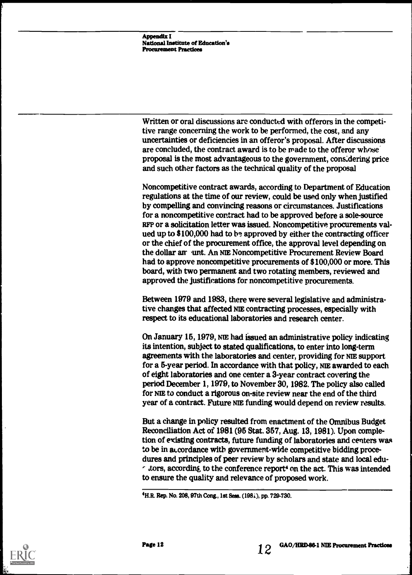Appendix I National Institute of Education's Procurement Practices

Written or oral discussions are conducted with offerors in the competitive range concerning the work to be performed, the cost, and any uncertainties or deficiencies in an offeror's proposal. After discussions are concluded, the contract award is to be made to the offeror whose proposal is the most advantageous to the government, considering price and such other factors as the technical quality of the proposal

Noncompetitive contract awards, according to Department of Education regulations at the time of our review, could be used only when justified by compelling and convincing reasons or circumstances. Justifications for a noncompetitive contract had to be approved before a sole-source RFP or a solicitation letter was issued. Noncompetitive procurements valued up to \$100,000 had to be approved by either the contracting officer or the chief of the procurement office, the approval level depending on the dollar an unt. An NIE Noncompetitive Procurement Review Board had to approve noncompetitive procurements of \$100,000 or more. This board, with two permanent and two rotating members, reviewed and approved the justifications for noncompetitive procurements.

Between 1979 and 1983, there were several legislative and administrative changes that affected NIE contracting processes, especially with respect to its educational laboratories and research center.

On January 15, 1979, NIE had issued an administrative policy indicating its intention, subject to stated qualifications, to enter into long-term agreements with the laboratories and center, providing for ME support for a 5-year period. In accordance with that policy, NiE awarded to each of eight laboratories and one center a 3-year contract covering the period December 1, 1979, to November 30, 1982. The policy also called for NIE to conduct a rigorous on-site review near the end of the third year of a contract. Future ME funding would depend on review results.

But a change in policy resulted from enactment of the Omnibus Budget Reconciliation Act of 1981 (95 Stat. 357, Aug. 13, 1981). Upon completion of existing contracts, future funding of laboratories and centers was to be in accordance with government-wide competitive bidding procedures and principles of peer review by scholars and state and local edu-  $\epsilon$  tors, according to the conference report<sup>4</sup> on the act. This was intended to ensure the quality and relevance of proposed work.





<sup>4</sup>H.R. Rep. No. 208, 97th Cong., 1st Sees. (198i), pp. 729-730.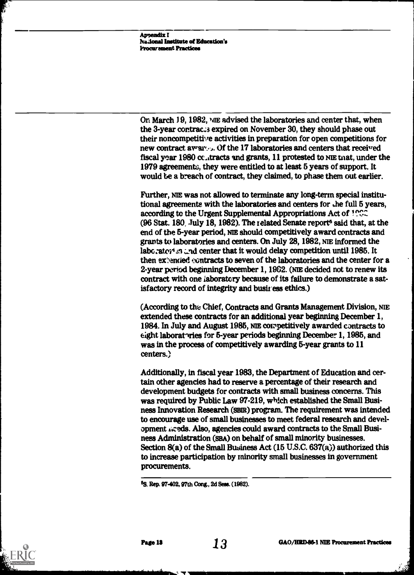**Appendix I** National Institute of Education's Procurement Practices

On March 19, 1982, ME advised the laboratories and center that, when the 3-year contracts expired on November 30, they should phase out their noncompetitive activities in preparation for open competitions for new contract awards. Of the 17 laboratories and centers that received fiscal year 1980 cc-itracts and grants, 11 protested to NIE mat, under the 1979 agreements, they were entitled to at least 5 years of support. It would be a breach of contract, they claimed, to phase them out earlier.

Further, NIE was not allowed to terminate any long-term special institutional agreements with the laboratories and centers for die full 5 years, according to the Urgent Supplemental Appropriations Act of 1992  $(96$  Stat. 180, July 18, 1982). The related Senate report<sup>6</sup> said that, at the end of the 5-year period, NiE should competitively award contracts and grants to laboratories and centers. On July 28, 1982, NIE informed the laboraton end center that it would delay competition until 1985. It then extended contracts to seven of the laboratories and the center for a 2-year period beginning December 1,1902. (NIE decided not to renew its contract with one laboratory because of its failure to demonstrate a satisfactory record of integrity and business ethics.)

(According to the Chief, Contracts and Grants Management Division, NIE extended these contracts for an additional year beginning December 1, 1984. In July and August 1985, N1E competitively awarded contracts to eight laboratories for 5-year periods beginning December 1, 1985, and was in the process of competitively awarding 5-year grants to 11 centers.)

Additionally, in fiscal year 1983, the Department of Education and certain other agencies had to reserve a percentage of their research and development budgets for contracts with small business concerns. This was required by Public Law 97-219, which established the Small Business Innovation Research (ssm) program. The requirement was intended to encourage use of small businesses to meet federal research and development ixeds. Also, agencies could award contracts to the Small Business Administration (SBA) on behalf of small minority businesses. Section 8(a) of the Small Business Act (15 U.S.C. 637(a)) authorized this to increase participation by minority small businesses in government procurements.

<sup>5</sup>S. Rep. 97-402, 97th Cong., 2d Sess. (1982).

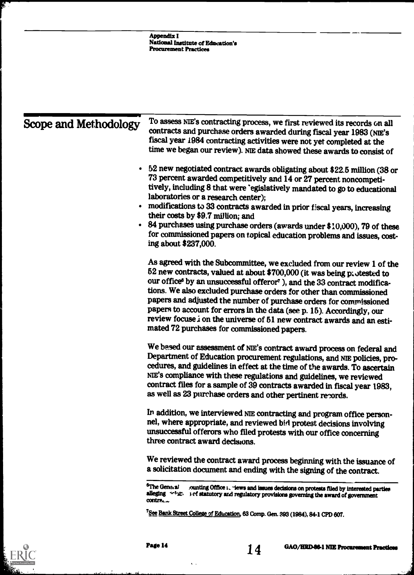| Scope and Methodology | To assess NIE's contracting process, we first reviewed its records on all<br>contracts and purchase orders awarded during fiscal year 1983 (NIE's<br>fiscal year 1984 contracting activities were not yet completed at the<br>time we began our review). NIE data showed these awards to consist of                                                                                                                                                                                                                                                                                                 |
|-----------------------|-----------------------------------------------------------------------------------------------------------------------------------------------------------------------------------------------------------------------------------------------------------------------------------------------------------------------------------------------------------------------------------------------------------------------------------------------------------------------------------------------------------------------------------------------------------------------------------------------------|
|                       | • 52 new negotiated contract awards obligating about \$22.5 million (38 or<br>73 percent awarded competitively and 14 or 27 percent noncompeti-<br>tively, including 8 that were 'egislatively mandated to go to educational<br>laboratories or a research center);                                                                                                                                                                                                                                                                                                                                 |
|                       | • modifications to 33 contracts awarded in prior fiscal years, increasing<br>their costs by \$9.7 million; and                                                                                                                                                                                                                                                                                                                                                                                                                                                                                      |
|                       | • 84 purchases using purchase orders (awards under \$10,000), 79 of these<br>for commissioned papers on topical education problems and issues, cost-<br>ing about \$237,000.                                                                                                                                                                                                                                                                                                                                                                                                                        |
|                       | As agreed with the Subcommittee, we excluded from our review 1 of the<br>52 new contracts, valued at about \$700,000 (it was being pattested to<br>our office <sup>6</sup> by an unsuccessful offeror <sup>7</sup> ), and the 33 contract modifica-<br>tions. We also excluded purchase orders for other than commissioned<br>papers and adjusted the number of purchase orders for commissioned<br>papers to account for errors in the data (see p. 15). Accordingly, our<br>review focuse i on the universe of 51 new contract awards and an esti-<br>mated 72 purchases for commissioned papers. |
|                       | We based our assessment of NIE's contract award process on federal and<br>Department of Education procurement regulations, and NIE policies, pro-<br>cedures, and guidelines in effect at the time of the awards. To ascertain<br>NIE's compliance with these regulations and guidelines, we reviewed<br>contract files for a sample of 39 contracts awarded in fiscal year 1983,<br>as well as 23 purchase orders and other pertinent records.                                                                                                                                                     |
|                       | In addition, we interviewed NIE contracting and program office person-<br>nel, where appropriate, and reviewed bid protest decisions involving<br>unsuccessful offerors who filed protests with our office concerning<br>three contract award decisions.                                                                                                                                                                                                                                                                                                                                            |
|                       | We reviewed the contract award process beginning with the issuance of<br>a solicitation document and ending with the signing of the contract.                                                                                                                                                                                                                                                                                                                                                                                                                                                       |
|                       | <sup>6</sup> The Genaral<br>ounting Office I, "lews and issues decisions on protests filed by interested parties<br>alleging $\sim$ 1/42. 3 of statutory and regulatory provisions governing the award of government<br>contra.                                                                                                                                                                                                                                                                                                                                                                     |



警告

 $\hat{\mathbf{v}}$  ,



<sup>&</sup>lt;sup>7</sup>See Bank Street College of Education, 63 Comp. Gen. 393 (1984), 84-1 CPD 607.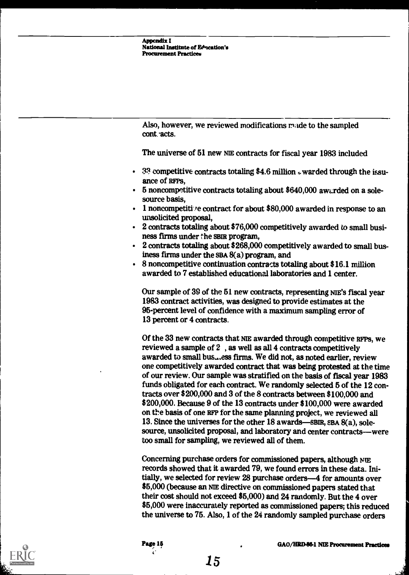Also, however, we reviewed modifications made to the sampled cont. acts.

The universe of 61 new NIE contracts for fiscal year 1983 included

- $\cdot$  3.3 competitive contracts totaling \$4.6 million  $\omega$  warded through the issuance of RFPs,
- 5 noncompetitive contracts totaling about \$640,000 awarded on a solesource basis,
- $\cdot$  1 noncompetitive contract for about \$80,000 awarded in response to an unsolicited proposal,
- 2 contracts totaling about \$76,000 competitively awarded to small business firms under the SBIR program,
- 2 contracts totaling about \$268,000 competitively awarded to small business firms under the SBA 8(a) program, and
- 8 noncompetitive continuation contracts totaling about \$16.1 million awarded to 7 established educational laboratories and 1 center.

Our sample of 39 of the 61 new contracts, representing NIE's fiscal year 1983 contract activities, was designed to provide estimates at the 96-percent level of confidence with a maximum sampling error of 13 percent or 4 contracts.

Of the 33 new contracts that NIE awarded through competitive RFPS, we reviewed a sample of 2 , as well as all 4 contracts competitively awarded to small bus...ess firms. We did not, as noted earlier, review one competitively awarded contract that was being protested at the time of our review. Our sample was stratified on the basis of fiscal year 1983 funds obligated for each contract. We randomly selected 5 of the 12 contracts over \$200,000 and 3 of the 8 contracts between \$100,000 and \$200,000. Because 9 of the 13 contracts under \$100,000 were awarded on the basis of one RFP for the same planning project, we reviewed all 13. Since the universes for the other  $18$  awards—SBIR, SBA  $8(a)$ , solesource, unsolicited proposal, and laboratory and center contracts-were too small for sampling, we reviewed all of them.

Concerning purchase orders for commissioned papers, although NIE records showed that it awarded 79, we found errors in these data. Initially, we selected for review 28 purchase orders-4 for amounts over \$6,000 (because an ME directive on commissioned papers stated that their cost should not exceed \$5,000) and 24 randomly. But the 4 over \$5,000 were inaccurately reported as commissioned papers; this reduced the universe to 76. Also, 1 of the 24 randomly sampled purchase orders



 $C_{\rm{max}}$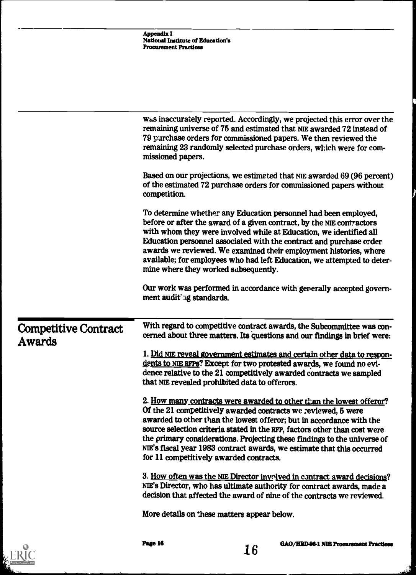|                                       | Appendix I<br><b>National Institute of Education's</b><br><b>Procurement Practices</b>                                                                                                                                                                                                                                                                                                                                                                                                      |
|---------------------------------------|---------------------------------------------------------------------------------------------------------------------------------------------------------------------------------------------------------------------------------------------------------------------------------------------------------------------------------------------------------------------------------------------------------------------------------------------------------------------------------------------|
|                                       |                                                                                                                                                                                                                                                                                                                                                                                                                                                                                             |
|                                       | was inaccurately reported. Accordingly, we projected this error over the<br>remaining universe of 75 and estimated that NIE awarded 72 instead of<br>79 purchase orders for commissioned papers. We then reviewed the<br>remaining 23 randomly selected purchase orders, which were for com-<br>missioned papers.                                                                                                                                                                           |
|                                       | Based on our projections, we estimated that NIE awarded 69 (96 percent)<br>of the estimated 72 purchase orders for commissioned papers without<br>competition.                                                                                                                                                                                                                                                                                                                              |
|                                       | To determine whether any Education personnel had been employed,<br>before or after the award of a given contract, by the NIE contractors<br>with whom they were involved while at Education, we identified all<br>Education personnel associated with the contract and purchase order<br>awards we reviewed. We examined their employment histories, where<br>available; for employees who had left Education, we attempted to deter-<br>mine where they worked subsequently.               |
|                                       | Our work was performed in accordance with generally accepted govern-<br>ment audit ng standards.                                                                                                                                                                                                                                                                                                                                                                                            |
| <b>Competitive Contract</b><br>Awards | With regard to competitive contract awards, the Subcommittee was con-<br>cerned about three matters. Its questions and our findings in brief were:                                                                                                                                                                                                                                                                                                                                          |
|                                       | 1. Did NIE reveal government estimates and certain other data to respon-<br>dents to NIE RFPs? Except for two protested awards, we found no evi-<br>dence relative to the 21 competitively awarded contracts we sampled<br>that NIE revealed prohibited data to offerors.                                                                                                                                                                                                                   |
|                                       | 2. How many contracts were awarded to other than the lowest offeror?<br>Of the 21 competitively awarded contracts we reviewed, 5 were<br>awarded to other than the lowest offeror; but in accordance with the<br>source selection criteria stated in the RFP, factors other than cost were<br>the primary considerations. Projecting these findings to the universe of<br>NIE's fiscal year 1983 contract awards, we estimate that this occurred<br>for 11 competitively awarded contracts. |
|                                       | 3. How often was the NIE Director involved in contract award decisions?<br>NIE's Director, who has ultimate authority for contract awards, made a<br>decision that affected the award of nine of the contracts we reviewed.                                                                                                                                                                                                                                                                 |
|                                       | More details on these matters appear below.                                                                                                                                                                                                                                                                                                                                                                                                                                                 |
|                                       | Page 16<br>GAO/HRD-86-1 NIE Procurement Practices<br>16                                                                                                                                                                                                                                                                                                                                                                                                                                     |



ا<br>تاريخ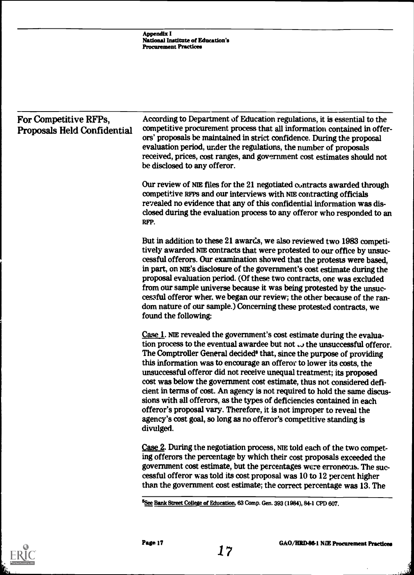| For Competitive RFPs,<br><b>Proposals Held Confidential</b> | According to Department of Education regulations, it is essential to the<br>competitive procurement process that all information contained in offer-<br>ors' proposals be maintained in strict confidence. During the proposal<br>evaluation period, under the regulations, the number of proposals<br>received, prices, cost ranges, and government cost estimates should not<br>be disclosed to any offeror.                                                                                                                                                                                                                                                                                                                                                                                |
|-------------------------------------------------------------|-----------------------------------------------------------------------------------------------------------------------------------------------------------------------------------------------------------------------------------------------------------------------------------------------------------------------------------------------------------------------------------------------------------------------------------------------------------------------------------------------------------------------------------------------------------------------------------------------------------------------------------------------------------------------------------------------------------------------------------------------------------------------------------------------|
|                                                             | Our review of NIE files for the 21 negotiated contracts awarded through<br>competitive RFPs and our interviews with NIE contracting officials<br>revealed no evidence that any of this confidential information was dis-<br>closed during the evaluation process to any offeror who responded to an<br>RFP.                                                                                                                                                                                                                                                                                                                                                                                                                                                                                   |
|                                                             | But in addition to these 21 awards, we also reviewed two 1983 competi-<br>tively awarded NIE contracts that were protested to our office by unsuc-<br>cessful offerors. Our examination showed that the protests were based,<br>in part, on NIE's disclosure of the government's cost estimate during the<br>proposal evaluation period. (Of these two contracts, one was excluded<br>from our sample universe because it was being protested by the unsuc-<br>cessful offeror wher, we began our review; the other because of the ran-<br>dom nature of our sample.) Concerning these protested contracts, we<br>found the following:                                                                                                                                                        |
|                                                             | Case 1. NIE revealed the government's cost estimate during the evalua-<br>tion process to the eventual awardee but not $\omega$ the unsuccessful offeror.<br>The Comptroller General decided <sup>8</sup> that, since the purpose of providing<br>this information was to encourage an offeror to lower its costs, the<br>unsuccessful offeror did not receive unequal treatment; its proposed<br>cost was below the government cost estimate, thus not considered defi-<br>cient in terms of cost. An agency is not required to hold the same discus-<br>sions with all offerors, as the types of deficiencies contained in each<br>offeror's proposal vary. Therefore, it is not improper to reveal the<br>agency's cost goal, so long as no offeror's competitive standing is<br>divulged. |
|                                                             | Case 2. During the negotiation process, NIE told each of the two compet-<br>ing offerors the percentage by which their cost proposals exceeded the<br>government cost estimate, but the percentages were erroneous. The suc-<br>cessful offeror was told its cost proposal was 10 to 12 percent higher<br>than the government cost estimate; the correct percentage was 13. The                                                                                                                                                                                                                                                                                                                                                                                                               |
|                                                             | <sup>8</sup> See Bank Street College of Education, 63 Comp. Gen. 393 (1984), 84-1 CPD 607.                                                                                                                                                                                                                                                                                                                                                                                                                                                                                                                                                                                                                                                                                                    |

Ĩ,

 $\bar{r}$ 

ا<br>الفقاء<br>الفقاء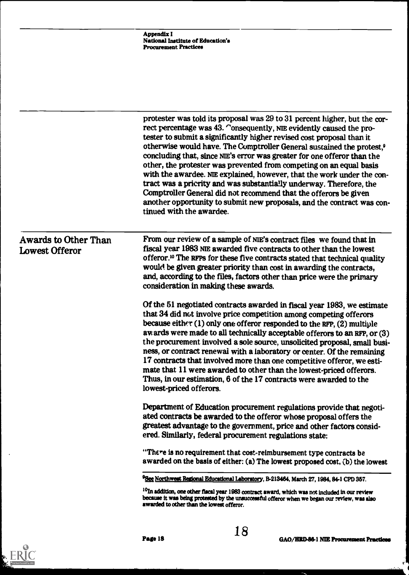|                                                      | Appendix I<br>National Institute of Education's<br><b>Procurement Practices</b>                                                                                                                                                                                                                                                                                                                                                                                                                                                                                                                                                                                                                                                                                                             |
|------------------------------------------------------|---------------------------------------------------------------------------------------------------------------------------------------------------------------------------------------------------------------------------------------------------------------------------------------------------------------------------------------------------------------------------------------------------------------------------------------------------------------------------------------------------------------------------------------------------------------------------------------------------------------------------------------------------------------------------------------------------------------------------------------------------------------------------------------------|
|                                                      |                                                                                                                                                                                                                                                                                                                                                                                                                                                                                                                                                                                                                                                                                                                                                                                             |
|                                                      | protester was told its proposal was 29 to 31 percent higher, but the cor-<br>rect percentage was 43. Consequently, NIE evidently caused the pro-<br>tester to submit a significantly higher revised cost proposal than it<br>otherwise would have. The Comptroller General sustained the protest, <sup>9</sup><br>concluding that, since NIE's error was greater for one offeror than the<br>other, the protester was prevented from competing on an equal basis<br>with the awardee. NIE explained, however, that the work under the con-<br>tract was a pricrity and was substantially underway. Therefore, the<br>Comptroller General did not recommend that the offerors be given<br>another opportunity to submit new proposals, and the contract was con-<br>tinued with the awardee. |
| <b>Awards to Other Than</b><br><b>Lowest Offeror</b> | From our review of a sample of NIE's contract files we found that in<br>fiscal year 1983 NIE awarded five contracts to other than the lowest<br>offeror. <sup>10</sup> The RFPs for these five contracts stated that technical quality<br>would be given greater priority than cost in awarding the contracts,<br>and, according to the files, factors other than price were the primary<br>consideration in making these awards.                                                                                                                                                                                                                                                                                                                                                           |
|                                                      | Of the 51 negotiated contracts awarded in fiscal year 1983, we estimate<br>that 34 did not involve price competition among competing offerors<br>because either (1) only one offeror responded to the RFP, (2) multiple<br>awards were made to all technically acceptable offerors to an RFP, or (3)<br>the procurement involved a sole source, unsolicited proposal, small busi-<br>ness, or contract renewal with a laboratory or center. Of the remaining<br>17 contracts that involved more than one competitive offeror, we esti-<br>mate that 11 were awarded to other than the lowest-priced offerors.<br>Thus, in our estimation, 6 of the 17 contracts were awarded to the<br>lowest-priced offerors.                                                                              |
|                                                      | Department of Education procurement regulations provide that negoti-<br>ated contracts be awarded to the offeror whose proposal offers the<br>greatest advantage to the government, price and other factors consid-<br>ered. Similarly, federal procurement regulations state:                                                                                                                                                                                                                                                                                                                                                                                                                                                                                                              |
|                                                      | "There is no requirement that cost-reimbursement type contracts be<br>awarded on the basis of either: (a) The lowest proposed cost, (b) the lowest                                                                                                                                                                                                                                                                                                                                                                                                                                                                                                                                                                                                                                          |
|                                                      | <sup>9</sup> See Northwest Regional Educational Laboratory, B-213464, March 27, 1984, 84-1 CPD 357.                                                                                                                                                                                                                                                                                                                                                                                                                                                                                                                                                                                                                                                                                         |
|                                                      | <sup>10</sup> In addition, one other fiscal year 1983 contract award, which was not included in our review<br>because it was being protested by the unsuccessful offeror when we began our review, was also<br>awarded to other than the lowest offeror.                                                                                                                                                                                                                                                                                                                                                                                                                                                                                                                                    |



 $\sim$ 

 $\mathbf{r}$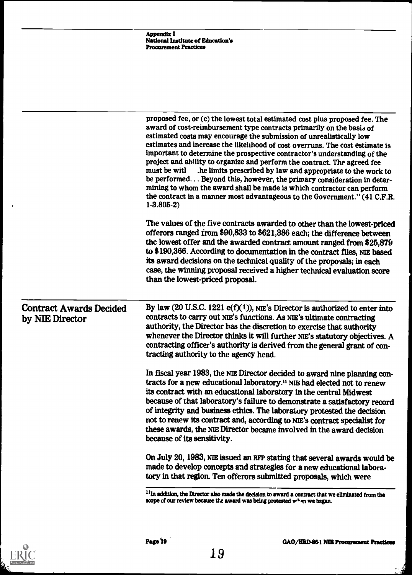|                                                   | <b>Appendix I</b><br><b>National Institute of Education's</b><br><b>Procurement Practices</b>                                                                                                                                                                                                                                                                                                                                                                                                                                                                                                                                                                                                                                                                                                        |
|---------------------------------------------------|------------------------------------------------------------------------------------------------------------------------------------------------------------------------------------------------------------------------------------------------------------------------------------------------------------------------------------------------------------------------------------------------------------------------------------------------------------------------------------------------------------------------------------------------------------------------------------------------------------------------------------------------------------------------------------------------------------------------------------------------------------------------------------------------------|
|                                                   |                                                                                                                                                                                                                                                                                                                                                                                                                                                                                                                                                                                                                                                                                                                                                                                                      |
|                                                   | proposed fee, or (c) the lowest total estimated cost plus proposed fee. The<br>award of cost-reimbursement type contracts primarily on the basis of<br>estimated costs may encourage the submission of unrealistically low<br>estimates and increase the likelihood of cost overruns. The cost estimate is<br>important to determine the prospective contractor's understanding of the<br>project and ability to organize and perform the contract. The agreed fee<br>must be with<br>he limits prescribed by law and appropriate to the work to<br>be performed Beyond this, however, the primary consideration in deter-<br>mining to whom the award shall be made is which contractor can perform<br>the contract in a manner most advantageous to the Government." (41 C.F.R.<br>$1 - 3.805 - 2$ |
|                                                   | The values of the five contracts awarded to other than the lowest-priced<br>offerors ranged from \$90,833 to \$621,386 each; the difference between<br>the lowest offer and the awarded contract amount ranged from \$25,879<br>to \$190,366. According to documentation in the contract files, NIE based<br>its award decisions on the technical quality of the propoyals; in each<br>case, the winning proposal received a higher technical evaluation score<br>than the lowest-priced proposal.                                                                                                                                                                                                                                                                                                   |
| <b>Contract Awards Decided</b><br>by NIE Director | By law (20 U.S.C. 1221 e(f)(1)), NIE's Director is authorized to enter into<br>contracts to carry out NIE's functions. As NIE's ultimate contracting<br>authority, the Director has the discretion to exercise that authority<br>whenever the Director thinks it will further NIE's statutory objectives. A<br>contracting officer's authority is derived from the general grant of con-<br>tracting authority to the agency head.                                                                                                                                                                                                                                                                                                                                                                   |
|                                                   | In fiscal year 1983, the NIE Director decided to award nine planning con-<br>tracts for a new educational laboratory. <sup>11</sup> NIE had elected not to renew<br>its contract with an educational laboratory in the central Midwest<br>because of that laboratory's failure to demonstrate a satisfactory record<br>of integrity and business ethics. The laboratory protested the decision<br>not to renew its contract and, according to NIE's contract specialist for<br>these awards, the NIE Director became involved in the award decision<br>because of its sensitivity.                                                                                                                                                                                                                   |
|                                                   | On July 20, 1983, NIE issued an RFP stating that several awards would be<br>made to develop concepts and strategies for a new educational labora-<br>tory in that region. Ten offerors submitted proposals, which were                                                                                                                                                                                                                                                                                                                                                                                                                                                                                                                                                                               |
|                                                   | <sup>11</sup> In addition the Director also made the decision to award a contract that we eliminated supmithe                                                                                                                                                                                                                                                                                                                                                                                                                                                                                                                                                                                                                                                                                        |

If In addition, the Director also made the decision to award a contract that we eliminated from the scope of our review because the award was being protested  $\mathbf{v}^{, \mathsf{t}}$  en we began.



ا<br>شخصیت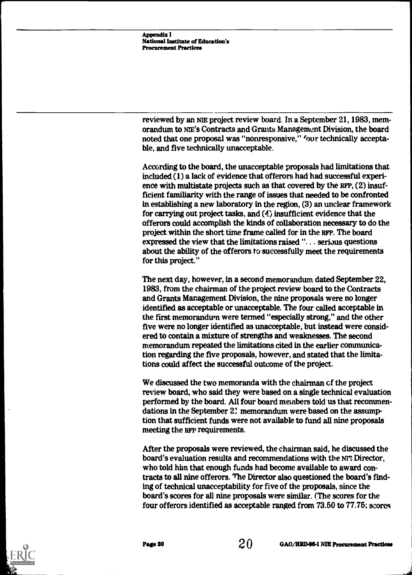reviewed by an ME project review board. In a September 21, 1983, memorandum to NE's Contracts and Grants Management Division, the board noted that one proposal was "nonresponsive," four technically acceptable, and five technically unacceptable.

According to the board, the unacceptable proposals had limitations that included (1) a lack of evidence that offerors had had successful experience with multistate projects such as that covered by the RFP, (2) insufficient familiarity with the range of issues that needed to be confronted in establishing a new laboratory in the region, (3) an unclear framework for carrying out project tasks, and (4) insufficient evidence that the offerors could accomplish the kinds of collaboration necessary to do the project within the short time frame called for in the RFP. The board expressed the view that the limitations raised ". . . serious questions about the ability of the offerors to successfully meet the requirements for this project."

The next day, however, in a second memorandum dated September 22, 1983, from the chairman of the project review board to the Contracts and Grants Management Division, the nine proposals were no longer identified as acceptable or unacceptable. The four called acceptable in the first memorandum were termed "especially strong," and the other five were no longer identified as unacceptable, but instead were considered to contain a mixture of strengths and weaknesses. The second memorandum repeated the limitations cited in the earlier communication regarding the five proposals, however, and stated that the limitations could affect the successful outcome of the project.

We discussed the two memoranda with the chairman cf the project review board, who said they were based on a single technical evaluation performed by the board. All four board members told us that recommendations in the September 2! memorandum were based on the assumption that sufficient funds were not available to fund all nine proposals meeting the RFP requirements.

After the proposals were reviewed, the chairman said, he discussed the board's evaluation results and recommendations with the Nr3 Director, who told him that enough funds had become available to award contracts to all nine offerors. The Director also questioned the board's finding of technical unacceptability for five of the proposals, since the board's scores for all nine proposals were similar. (The scores for the four offerors identified as acceptable ranged from 73.50 to 77.75; scores

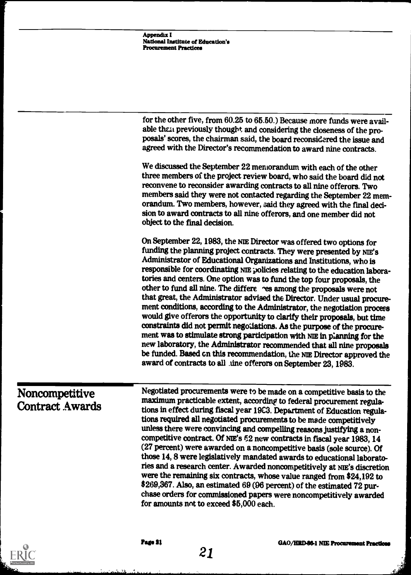|                                          | <b>Appendix I</b><br>National Institute of Education's<br><b>Procurement Practices</b>                                                                                                                                                                                                                                                                                                                                                                                                                                                                                                                                                                                                                                                                                                                                                                                                                                                                                                                                                                              |
|------------------------------------------|---------------------------------------------------------------------------------------------------------------------------------------------------------------------------------------------------------------------------------------------------------------------------------------------------------------------------------------------------------------------------------------------------------------------------------------------------------------------------------------------------------------------------------------------------------------------------------------------------------------------------------------------------------------------------------------------------------------------------------------------------------------------------------------------------------------------------------------------------------------------------------------------------------------------------------------------------------------------------------------------------------------------------------------------------------------------|
|                                          |                                                                                                                                                                                                                                                                                                                                                                                                                                                                                                                                                                                                                                                                                                                                                                                                                                                                                                                                                                                                                                                                     |
|                                          | for the other five, from 60.25 to 65.50.) Because more funds were avail-<br>able than previously thought and considering the closeness of the pro-<br>posals' scores, the chairman said, the board reconsidered the issue and<br>agreed with the Director's recommendation to award nine contracts.                                                                                                                                                                                                                                                                                                                                                                                                                                                                                                                                                                                                                                                                                                                                                                 |
|                                          | We discussed the September 22 meniorandum with each of the other<br>three members of the project review board, who said the board did not<br>reconvene to reconsider awarding contracts to all nine offerors. Two<br>members said they were not contacted regarding the September 22 mem-<br>orandum. Two members, however, said they agreed with the final deci-<br>sion to award contracts to all nine offerors, and one member did not<br>object to the final decision.                                                                                                                                                                                                                                                                                                                                                                                                                                                                                                                                                                                          |
|                                          | On September 22, 1983, the NIE Director was offered two options for<br>funding the planning project contracts. They were presented by NIE's<br>Administrator of Educational Organizations and Institutions, who is<br>responsible for coordinating NIE policies relating to the education labora-<br>tories and centers. One option was to fund the top four proposals, the<br>other to fund all nine. The differe ces among the proposals were not<br>that great, the Administrator advised the Director. Under usual procure-<br>ment conditions, according to the Administrator, the negotiation process<br>would give offerors the opportunity to clarify their proposals, but time<br>constraints did not permit negotiations. As the purpose of the procure-<br>ment was to stimulate strong participation with NIE in planning for the<br>new laboratory, the Administrator recommended that all nine proposals<br>be funded. Based on this recommendation, the NIE Director approved the<br>award of contracts to all .uine offerors on September 23, 1983. |
| Noncompetitive<br><b>Contract Awards</b> | Negotiated procurements were to be made on a competitive basis to the<br>maximum practicable extent, according to federal procurement regula-<br>tions in effect during fiscal year 1983. Department of Education regula-<br>tions required all negotiated procurements to be made competitively<br>unless there were convincing and compelling reasons justifying a non-<br>competitive contract. Of NIE's 52 new contracts in fiscal year 1983, 14<br>(27 percent) were awarded on a noncompetitive basis (sole scurce). Of<br>those 14, 8 were legislatively mandated awards to educational laborato-<br>ries and a research center. Awarded noncompetitively at NIE's discretion<br>were the remaining six contracts, whose value ranged from \$24,192 to<br>\$269,367. Also, an estimated 69 (96 percent) of the estimated 72 pur-<br>chase orders for commissioned papers were noncompetitively awarded                                                                                                                                                       |



λł.

for amounts not to exceed \$5,000 each.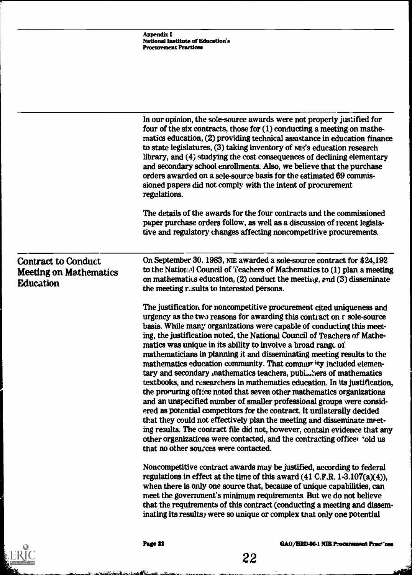|                                                                                 | <b>Appendix I</b><br>National Institute of Education's<br><b>Procurement Practices</b>                                                                                                                                                                                                                                                                                                                                                                                                                                                                                                                                                                                                                                                                                                                                                                                                                                                                                                                                                                                                                                                                                          |
|---------------------------------------------------------------------------------|---------------------------------------------------------------------------------------------------------------------------------------------------------------------------------------------------------------------------------------------------------------------------------------------------------------------------------------------------------------------------------------------------------------------------------------------------------------------------------------------------------------------------------------------------------------------------------------------------------------------------------------------------------------------------------------------------------------------------------------------------------------------------------------------------------------------------------------------------------------------------------------------------------------------------------------------------------------------------------------------------------------------------------------------------------------------------------------------------------------------------------------------------------------------------------|
|                                                                                 |                                                                                                                                                                                                                                                                                                                                                                                                                                                                                                                                                                                                                                                                                                                                                                                                                                                                                                                                                                                                                                                                                                                                                                                 |
|                                                                                 | In our opinion, the sole-source awards were not properly justified for<br>four of the six contracts, those for $(1)$ conducting a meeting on mathe-<br>matics education, (2) providing technical assistance in education finance<br>to state legislatures, (3) taking inventory of NIE's education research<br>library, and (4) studying the cost consequences of declining elementary<br>and secondary school enrollments. Also, we believe that the purchase<br>orders awarded on a scle-source basis for the estimated 69 commis-<br>sioned papers did not comply with the intent of procurement<br>regulations.                                                                                                                                                                                                                                                                                                                                                                                                                                                                                                                                                             |
|                                                                                 | The details of the awards for the four contracts and the commissioned<br>paper purchase orders follow, as well as a discussion of recent legisla-<br>tive and regulatory changes affecting noncompetitive procurements.                                                                                                                                                                                                                                                                                                                                                                                                                                                                                                                                                                                                                                                                                                                                                                                                                                                                                                                                                         |
| <b>Contract to Conduct</b><br><b>Meeting on Mathematics</b><br><b>Education</b> | On September 30, 1983, NIE awarded a sole-source contract for \$24,192<br>to the National Council of Teachers of Mathematics to (1) plan a meeting<br>on mathematics education, $(2)$ conduct the meeting, and $(3)$ disseminate<br>the meeting rusults to interested persons.                                                                                                                                                                                                                                                                                                                                                                                                                                                                                                                                                                                                                                                                                                                                                                                                                                                                                                  |
|                                                                                 | The justification for noncompetitive procurement cited uniqueness and<br>urgency as the two reasons for awarding this contract on a sole-source<br>basis. While many organizations were capable of conducting this meet-<br>ing, the justification noted, the National Council of Teachers of Mathe-<br>matics was unique in its ability to involve a broad range of<br>mathematicians in planning it and disseminating meeting results to the<br>mathematics education community. That community included elemen-<br>tary and secondary mathematics teachers, publishers of mathematics<br>textbooks, and researchers in mathematics education. In its justification,<br>the procuring office noted that seven other mathematics organizations<br>and an unspecified number of smaller professional groups were consid-<br>ered as potential competitors for the contract. It unilaterally decided<br>that they could not effectively plan the meeting and disseminate meet-<br>ing results. The contract file did not, however, contain evidence that any<br>other organizations were contacted, and the contracting officer 'old us<br>that no other sources were contacted. |
|                                                                                 | Noncompetitive contract awards may be justified, according to federal<br>regulations in effect at the time of this award $(41 \text{ C.F.R. } 1-3.107(a)(4)),$<br>when there is only one source that, because of unique capabilities, can<br>meet the government's minimum requirements. But we do not believe<br>that the requirements of this contract (conducting a meeting and dissem-<br>inating its results, were so unique or complex that only one potential                                                                                                                                                                                                                                                                                                                                                                                                                                                                                                                                                                                                                                                                                                            |
|                                                                                 | Page 22<br>GAO/HRD-86-1 NIE Procurement Pract'ces<br>22                                                                                                                                                                                                                                                                                                                                                                                                                                                                                                                                                                                                                                                                                                                                                                                                                                                                                                                                                                                                                                                                                                                         |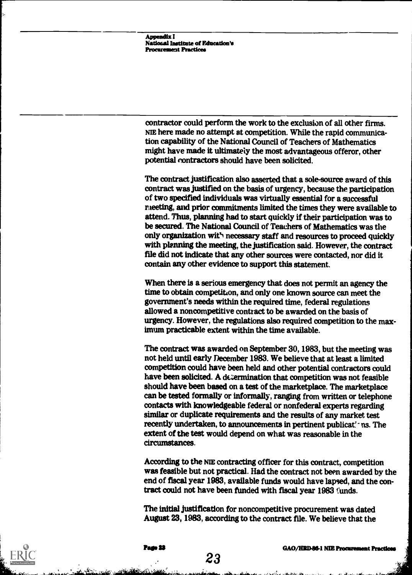Appendix I National Institute of Education's Procurement Practices

contractor could perform the work to the exclusion of all other firms. NIE here made no attempt at competition. While the rapid communication capability of the National Council of Teachers of Mathematics might have made it ultimately the most advantageous offeror, other potential contractors should have been solicited.

The contract justification also asserted that a sole-source award of this contract was justified on the basis of urgency, because the participation of two specified individuals was virtually essential for a successful meeting, and prior commitments limited the times they were available to attend. Thus, planning had to start quickly if their participation was to be secured. The National Council of Teachers of Mathematics was the only organization with necessary staff and resources to proceed quickly with planning the meeting, the justification said. However, the contract file did not indicate that any other sources were contacted, nor did it contain any other evidence to support this statement.

When there is a serious emergency that does not permit an agency the time to obtain competition, and only one known source can meet the government's needs within the required time, federal regulations allowed a noncompetitive contract to be awarded on the basis of urgency. However, the regulations also required competition to the maximum practicable extent within the time available.

The contract was awarded on September 30, 1983, but the meeting was not held until early December 1983. We believe that at least a limited competition could have been held and other potential contractors could have been solicited. A determination that competition was not feasible should have been based on a test of the marketplace. The marketplace can be tested formally or informally, ranging from written or telephone contacts with knowledgeable federal or nonfederal experts regarding similar or duplicate requirements and the results of any market test recently undertaken, to announcements in pertinent publicat ns. The extent of the test would depend on what was reasonable in the circumstances.

According to the NIE contracting officer for this contract, competition was feasible but not practical. Had the contract not been awarded by the end of fiscal year 1983, available funds would have lapsed, and the contract could not have been funded with fiscal year 1983 'unds.

The initial justification for noncompetitive procurement was dated August 23, 1983, according to the contract file. We believe that the

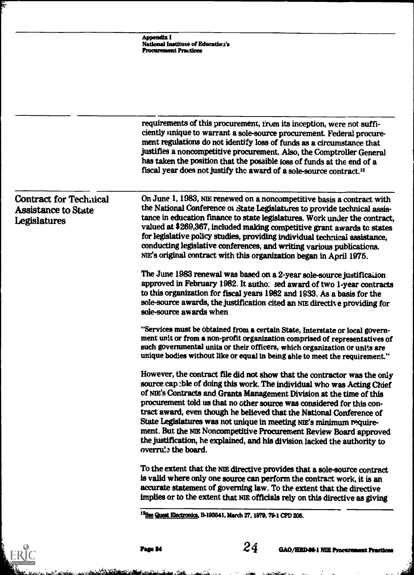|                                                                             | Appendix I<br>National Institute of Education's<br><b>Procurement Practices</b>                                                                                                                                                                                                                                                                                                                                                                                                                                                                                                                                               |
|-----------------------------------------------------------------------------|-------------------------------------------------------------------------------------------------------------------------------------------------------------------------------------------------------------------------------------------------------------------------------------------------------------------------------------------------------------------------------------------------------------------------------------------------------------------------------------------------------------------------------------------------------------------------------------------------------------------------------|
|                                                                             | requirements of this procurement, from its inception, were not suffi-<br>ciently unique to warrant a sole-source procurement. Federal procure-<br>ment regulations do not identify loss of funds as a circumstance that<br>justifies a noncompetitive procurement. Also, the Comptroller General                                                                                                                                                                                                                                                                                                                              |
|                                                                             | has taken the position that the possible loss of funds at the end of a<br>fiscal year does not justify the award of a sole-source contract. <sup>12</sup>                                                                                                                                                                                                                                                                                                                                                                                                                                                                     |
| <b>Contract for Technical</b><br><b>Assistance to State</b><br>Legislatures | On June 1, 1983, NIE renewed on a noncompetitive basis a contract with<br>the National Conference of State Legislatures to provide technical assis-<br>tance in education finance to state legislatures. Work under the contract,<br>valued at \$269,367, included making competitive grant awards to states<br>for legislative policy studies, providing individual technical assistance,<br>conducting legislative conferences, and writing various publications.<br>NIE's original contract with this organization began in April 1975.                                                                                    |
|                                                                             | The June 1983 renewal was based on a 2-year sole-source justification<br>approved in February 1982. It autho: zed award of two 1-year contracts<br>to this organization for fiscal years 1982 and 1933. As a basis for the<br>sole-source awards, the justification cited an NIE directive providing for<br>sole-source awards when                                                                                                                                                                                                                                                                                           |
|                                                                             | "Services must be obtained from a certain State, Interstate or local govern-<br>ment unit or from a non-profit organization comprised of representatives of<br>such governmental units or their officers, which organization or units are<br>unique bodies without like or equal in being able to meet the requirement."                                                                                                                                                                                                                                                                                                      |
|                                                                             | However, the contract file did not show that the contractor was the only<br>source capeble of doing this work. The individual who was Acting Chief<br>of NIE's Contracts and Grants Management Division at the time of this<br>procurement told us that no other source was considered for this con-<br>tract award, even though he believed that the National Conference of<br>State Legislatures was not unique in meeting NIE's minimum require-<br>ment. But the NIE Noncompetitive Procurement Review Board approved<br>the justification, he explained, and his division lacked the authority to<br>overru's the board. |
|                                                                             | To the extent that the NIE directive provides that a sole-source contract<br>is valid where only one source can perform the contract work, it is an<br>accurate statement of governing law. To the extent that the directive<br>implies or to the extent that NIE officials rely on this directive as giving                                                                                                                                                                                                                                                                                                                  |

s and the complete of the complete state of the

ERIC

 $\mathbf{r}^{\dagger}$ 

a k

and the common to the common of the common the common the common the common the common the common the common the common the common the common the common the common the common the common the common the common the common the

 $\mathbf{t}_\mathrm{m}$  .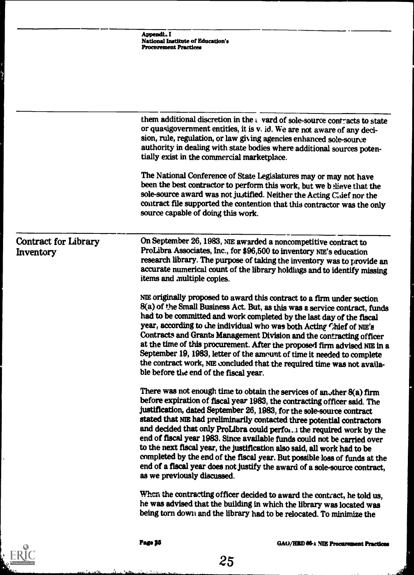|                                          | Appendi I<br><b>National Institute of Education's</b><br><b>Procurement Practices</b>                                                                                                                                                                                                                                                                                                                                                                                                                                                                                                                                                                                                                                               |
|------------------------------------------|-------------------------------------------------------------------------------------------------------------------------------------------------------------------------------------------------------------------------------------------------------------------------------------------------------------------------------------------------------------------------------------------------------------------------------------------------------------------------------------------------------------------------------------------------------------------------------------------------------------------------------------------------------------------------------------------------------------------------------------|
|                                          |                                                                                                                                                                                                                                                                                                                                                                                                                                                                                                                                                                                                                                                                                                                                     |
|                                          | them additional discretion in the $\iota$ vard of sole-source contracts to state<br>or quasigovernment entities, it is v. id. We are not aware of any deci-<br>sion, rule, regulation, or law giving agencies enhanced sole-source<br>authority in dealing with state bodies where additional sources poten-<br>tially exist in the commercial marketplace.                                                                                                                                                                                                                                                                                                                                                                         |
|                                          | The National Conference of State Legislatures may or may not have<br>been the best contractor to perform this work, but we believe that the<br>sole-source award was not justified. Neither the Acting Chief nor the<br>contract file supported the contention that this contractor was the only<br>source capable of doing this work.                                                                                                                                                                                                                                                                                                                                                                                              |
| <b>Contract for Library</b><br>Inventory | On September 26, 1983, NIE awarded a noncompetitive contract to<br>ProLibra Associates, Inc., for \$96,500 to inventory NIE's education<br>research library. The purpose of taking the inventory was to provide an<br>accurate numerical count of the library holdings and to identify missing<br>items and multiple copies.                                                                                                                                                                                                                                                                                                                                                                                                        |
|                                          | NIE originally proposed to award this contract to a firm under section<br>8(a) of the Small Business Act. But, as this was a service contract, funds<br>had to be committed and work completed by the last day of the fiscal<br>year, according to the individual who was both Acting Chief of NIE's<br>Contracts and Grants Management Division and the contracting officer<br>at the time of this procurement. After the proposed firm advised NIE in a<br>September 19, 1983, letter of the amount of time it needed to complete<br>the contract work, NIE concluded that the required time was not availa-<br>ble before the end of the fiscal year.                                                                            |
|                                          | There was not enough time to obtain the services of another 8(a) firm<br>before expiration of fiscal year 1983, the contracting officer said. The<br>justification, dated September 26, 1983, for the sole-source contract<br>stated that NIE had preliminarily contacted three potential contractors<br>and decided that only ProLibra could perfor. I the required work by the<br>end of fiscal year 1983. Since available funds could not be carried over<br>to the next fiscal year, the justification also said, all work had to be<br>completed by the end of the fiscal year. But possible loss of funds at the<br>end of a fiscal year does not justify the award of a sole-source contract,<br>as we previously discussed. |
|                                          | When the contracting officer decided to award the contract, he told us,<br>he was advised that the building in which the library was located was<br>being torn down and the library had to be relocated. To minimize the                                                                                                                                                                                                                                                                                                                                                                                                                                                                                                            |

 $\ddot{\phantom{a}}$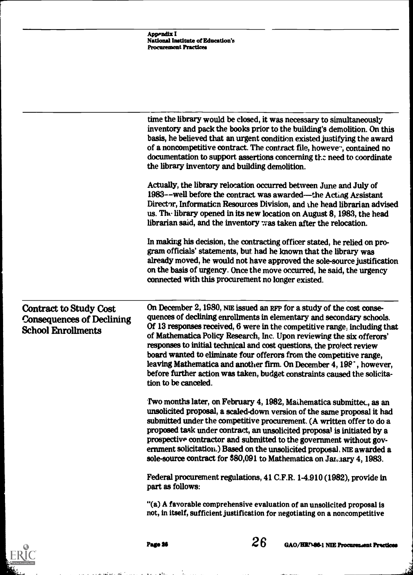|                                                                                                | Appendix I<br><b>National Institute of Education's</b><br><b>Procurement Practices</b>                                                                                                                                                                                                                                                                                                                                                                                                                                                                                                                                                       |
|------------------------------------------------------------------------------------------------|----------------------------------------------------------------------------------------------------------------------------------------------------------------------------------------------------------------------------------------------------------------------------------------------------------------------------------------------------------------------------------------------------------------------------------------------------------------------------------------------------------------------------------------------------------------------------------------------------------------------------------------------|
|                                                                                                |                                                                                                                                                                                                                                                                                                                                                                                                                                                                                                                                                                                                                                              |
|                                                                                                | time the library would be closed, it was necessary to simultaneously<br>inventory and pack the books prior to the building's demolition. On this<br>basis, he believed that an urgent condition existed justifying the award<br>of a noncompetitive contract. The contract file, however, contained no<br>documentation to support assertions concerning the need to coordinate<br>the library inventory and building demolition.                                                                                                                                                                                                            |
|                                                                                                | Actually, the library relocation occurred between June and July of<br>1983--well before the contract was awarded—the Acting Assistant<br>Director, Information Resources Division, and the head librarian advised<br>us. The library opened in its new location on August 8, 1983, the head<br>librarian said, and the inventory was taken after the relocation.                                                                                                                                                                                                                                                                             |
|                                                                                                | In making his decision, the contracting officer stated, he relied on pro-<br>gram officials' statements, but had he known that the library was<br>already moved, he would not have approved the sole-source justification<br>on the basis of urgency. Once the move occurred, he said, the urgency<br>connected with this procurement no longer existed.                                                                                                                                                                                                                                                                                     |
| <b>Contract to Study Cost</b><br><b>Consequences of Declining</b><br><b>School Enrollments</b> | On December 2, 1980, NIE issued an RFP for a study of the cost conse-<br>quences of declining enrollments in elementary and secondary schools.<br>Of 13 responses received, 6 were in the competitive range, including that<br>of Mathematica Policy Research, Inc. Upon reviewing the six offerors'<br>responses to initial technical and cost questions, the project review<br>board wanted to eliminate four offerors from the competitive range,<br>leaving Mathematica and another firm. On December 4, 198 <sup>-</sup> , however,<br>before further action was taken, budget constraints caused the solicita-<br>tion to be canceled. |
|                                                                                                | Two months later, on February 4, 1982, Mathematica submitted, as an<br>unsolicited proposal, a scaled-down version of the same proposal it had<br>submitted under the competitive procurement. (A written offer to do a<br>proposed task under contract, an unsolicited proposal is initiated by a<br>prospective contractor and submitted to the government without gov-<br>ernment solicitation.) Based on the unsolicited proposal, NIE awarded a<br>sole-source contract for \$80,091 to Mathematica on January 4, 1983.                                                                                                                 |
|                                                                                                | Federal procurement regulations, 41 C.F.R. 1-4.910 (1982), provide in<br>part as follows:                                                                                                                                                                                                                                                                                                                                                                                                                                                                                                                                                    |
|                                                                                                | "(a) A favorable comprehensive evaluation of an unsolicited proposal is<br>not, in itself, sufficient justification for negotiating on a noncompetitive                                                                                                                                                                                                                                                                                                                                                                                                                                                                                      |



 $\mathcal{L}$ 

 $\bullet$  %

.<br>در افغان است دارد در آن گفتن دانلودگیوه بهره با است دارد.



ر<br>افغان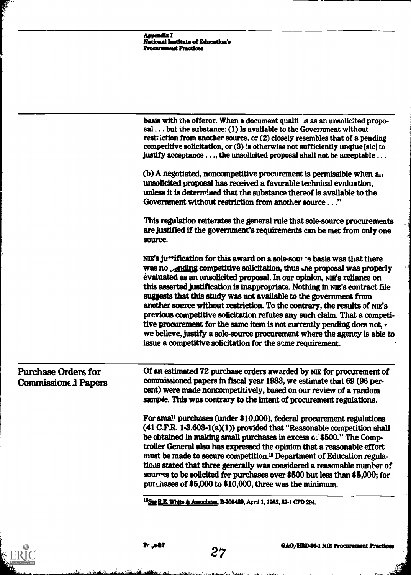|                                                           | <b>Appendix I</b><br><b>National Institute of Education's</b><br><b>Procurement Practices</b>                                                                                                                                                                                                                                                                                                                                                                                                                                                                                                                                                                                                                                                                                          |
|-----------------------------------------------------------|----------------------------------------------------------------------------------------------------------------------------------------------------------------------------------------------------------------------------------------------------------------------------------------------------------------------------------------------------------------------------------------------------------------------------------------------------------------------------------------------------------------------------------------------------------------------------------------------------------------------------------------------------------------------------------------------------------------------------------------------------------------------------------------|
|                                                           |                                                                                                                                                                                                                                                                                                                                                                                                                                                                                                                                                                                                                                                                                                                                                                                        |
|                                                           | basis with the offeror. When a document qualif as as an unsolicited propo-<br>sal  but the substance: (1) Is available to the Government without<br>restriction from another source, or (2) closely resembles that of a pending<br>competitive solicitation, or $(3)$ is otherwise not sufficiently unqiue [sic] to<br>justify acceptance , the unsolicited proposal shall not be acceptable                                                                                                                                                                                                                                                                                                                                                                                           |
|                                                           | (b) A negotiated, noncompetitive procurement is permissible when an<br>unsolicited proposal has received a favorable technical evaluation,<br>unless it is determined that the substance thereof is available to the<br>Government without restriction from another source"                                                                                                                                                                                                                                                                                                                                                                                                                                                                                                            |
|                                                           | This regulation reiterates the general rule that sole-source procurements<br>are justified if the government's requirements can be met from only one<br>source.                                                                                                                                                                                                                                                                                                                                                                                                                                                                                                                                                                                                                        |
|                                                           | NIE's ju <sup>*+</sup> ification for this award on a sole-sour ~e basis was that there<br>was no ending competitive solicitation, thus the proposal was properly<br>evaluated as an unsolicited proposal. In our opinion, NIE's reliance on<br>this asserted justification is inappropriate. Nothing in NIE's contract file<br>suggests that this study was not available to the government from<br>another source without restriction. To the contrary, the results of NIE's<br>previous competitive solicitation refutes any such claim. That a competi-<br>tive procurement for the same item is not currently pending does not, $\cdot$<br>we believe, justify a sole-source procurement where the agency is able to<br>issue a competitive solicitation for the same requirement. |
| <b>Purchase Orders for</b><br><b>Commissione 1 Papers</b> | Of an estimated 72 purchase orders awarded by NIE for procurement of<br>commissioned papers in fiscal year 1983, we estimate that 69 (96 per-<br>cent) were made noncompetitively, based on our review of a random<br>sample. This was contrary to the intent of procurement regulations.                                                                                                                                                                                                                                                                                                                                                                                                                                                                                              |
|                                                           | For small purchases (under \$10,000), federal procurement regulations<br>$(41 C.F.R. 1-3.603-1(a)(1))$ provided that "Reasonable competition shall<br>be obtained in making small purchases in excess $c$ . \$500." The Comp-<br>troller General also has expressed the opinion that a reasonable effort<br>must be made to secure competition. <sup>13</sup> Department of Education regula-<br>tions stated that three generally was considered a reasonable number of<br>sources to be solicited for purchases over \$500 but less than \$5,000; for<br>purchases of \$5,000 to \$10,000, three was the minimum.                                                                                                                                                                    |
|                                                           | <sup>13</sup> See R.E. White & Associates, B-205489, April 1, 1982, 82-1 CPD 294.                                                                                                                                                                                                                                                                                                                                                                                                                                                                                                                                                                                                                                                                                                      |

**Contract of Contract of** 

ERIC

.<br>بانگ

<u>د نه د درو</u>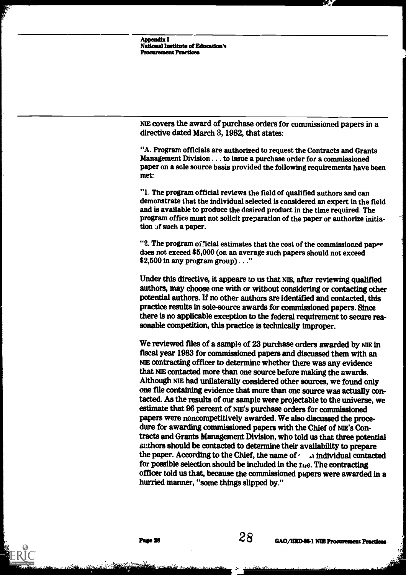Appendix I National Institute of Education's **Procurement Practices** 

NIE covers the award of purchase orders for commissioned papers in a directive dated March 3, 1982, that states:

"A. Program officials are authorized to request the Contracts and Grants Management Division . . . to issue a purchase order fot a commissioned paper on a sole source basis provided the following requirements have been met:

"1. The program official reviews the field of qualified authors and can demonstrate that the individual selected is considered an expert in the field and is available to produce the desired product in the time required. The program office must not solicit preparation of the paper or authorize initiation  $\pi$  such a paper.

"2. The program official estimates that the cost of the commissioned paper does not exceed \$5,000 (on an average such papers should not exceed \$2,500 in any program group) . . ."

Under this directive, it appears to us that ME, after reviewing qualified authors, may choose one with or without considering or contacting other potential authors. If no other authors are identified and contacted, this practice results in sole-source awards for commissioned papers. Since there is no applicable exception to the federal requirement to secure reasonable competition, this practice is technically improper.

We reviewed files of a sample of 23 purchase orders awarded by NIE in fiscal year 1983 for commissioned papers and discussed them with an NIE contracting officer to determine whether there was any evidence that NIE contacted more than one source before malting the awards. Although NIE had unilaterally considered other sources, we found only one file containing evidence that more than one source was actually contacted. As the results of our sample were projectable to the universe, we estimate that 96 percent of NIE's purchase orders for commissioned papers were noncompetitively awarded. We also discussed the procedure for awarding commissioned papers with the Chief of NIE's Contracts and Grants Management Division, who told us that three potential authors should be contacted to determine their availability to prepare the paper. According to the Chief, the name of  $\ell$  individual contacted for possible selection should be included in the the. The contracting officer told us that, because the commissioned papers were awarded in a hurried manner, "some things slipped by."

I.Y.;5514... . '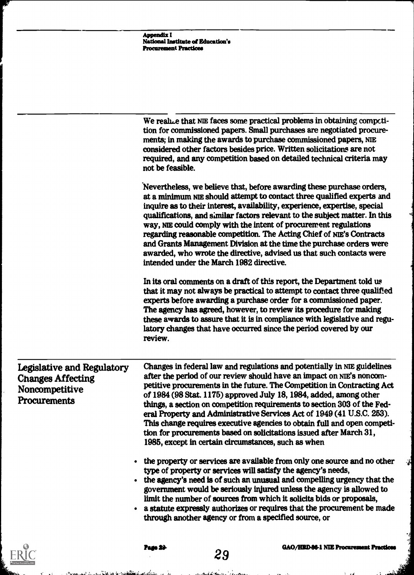|                                                                                                 | <b>Appendix I</b><br><b>National Institute of Education's</b><br><b>Procurement Practices</b> |                                          |                                                                                                                                                                                                                                                                                                                                                                                                                                                                                                                                                                                                                                                                    |
|-------------------------------------------------------------------------------------------------|-----------------------------------------------------------------------------------------------|------------------------------------------|--------------------------------------------------------------------------------------------------------------------------------------------------------------------------------------------------------------------------------------------------------------------------------------------------------------------------------------------------------------------------------------------------------------------------------------------------------------------------------------------------------------------------------------------------------------------------------------------------------------------------------------------------------------------|
|                                                                                                 | not be feasible.                                                                              |                                          | We realize that NIE faces some practical problems in obtaining compcti-<br>tion for commissioned papers. Small purchases are negotiated procure-<br>ments; in making the awards to purchase commissioned papers, NIE<br>considered other factors besides price. Written solicitations are not<br>required, and any competition based on detailed technical criteria may                                                                                                                                                                                                                                                                                            |
|                                                                                                 |                                                                                               | intended under the March 1982 directive. | Nevertheless, we believe that, before awarding these purchase orders,<br>at a minimum NIE should attempt to contact three qualified experts and<br>inquire as to their interest, availability, experience, expertise, special<br>qualifications, and similar factors relevant to the subject matter. In this<br>way, NIE could comply with the intent of procurement regulations<br>regarding reasonable competition. The Acting Chief of NIE's Contracts<br>and Grants Management Division at the time the purchase orders were<br>awarded, who wrote the directive, advised us that such contacts were                                                           |
|                                                                                                 | review.                                                                                       |                                          | In its oral comments on a draft of this report, the Department told us<br>that it may not always be practical to attempt to contact three qualified<br>experts before awarding a purchase order for a commissioned paper.<br>The agency has agreed, however, to review its procedure for making<br>these awards to assure that it is in compliance with legislative and regu-<br>latory changes that have occurred since the period covered by our                                                                                                                                                                                                                 |
| Legislative and Regulatory<br><b>Changes Affecting</b><br>Noncompetitive<br><b>Procurements</b> |                                                                                               |                                          | Changes in federal law and regulations and potentially in NIE guidelines<br>after the period of our review should have an impact on NIE's noncom-<br>petitive procurements in the future. The Competition in Contracting Act<br>of 1984 (98 Stat. 1175) approved July 18, 1984, added, among other<br>things, a section on competition requirements to section 303 of the Fed-<br>eral Property and Administrative Services Act of 1949 (41 U.S.C. 253).<br>This change requires executive agencies to obtain full and open competi-<br>tion for procurements based on solicitations issued after March 31,<br>1985, except in certain circumstances, such as when |
|                                                                                                 |                                                                                               |                                          | • the property or services are available from only one source and no other<br>type of property or services will satisfy the agency's needs,<br>• the agency's need is of such an unusual and compelling urgency that the<br>government would be seriously injured unless the agency is allowed to<br>limit the number of sources from which it solicits bids or proposals,<br>• a statute expressly authorizes or requires that the procurement be made<br>through another agency or from a specified source, or                                                                                                                                                   |
|                                                                                                 | Pado XV                                                                                       | 29                                       | <b>GAO/HRD-86-1 NIE Procurement Practic</b>                                                                                                                                                                                                                                                                                                                                                                                                                                                                                                                                                                                                                        |

 $ERIC$ 

,  $\delta$ ,  $\delta$ ,  $\delta$ ,  $\delta$ ,  $\delta$ ,  $\delta$ ,  $\delta$ ,  $\delta$ ,  $\delta$ ,  $\delta$ ,  $\delta$ ,  $\delta$ ,  $\delta$ ,  $\delta$ ,  $\delta$ ,  $\delta$ ,  $\delta$ ,  $\delta$ ,  $\delta$ ,  $\delta$ ,  $\delta$ ,  $\delta$ ,  $\delta$ ,  $\delta$ ,  $\delta$ ,  $\delta$ ,  $\delta$ ,  $\delta$ ,  $\delta$ ,  $\delta$ ,  $\delta$ ,  $\delta$ ,  $\delta$ ,  $\delta$ ,  $\delta$ ,  $\delta$ ,  $\delta$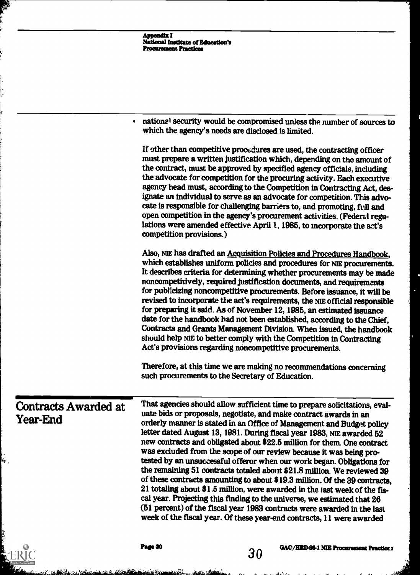|                                  | <b>Appendix I</b><br><b>National Institute of Education's</b><br><b>Procurament Practices</b> |    |                                                                                                                                                                                                                                                                                                                                                                                                                                                                                                                                                                                                                                                                                                                                                                                                                                                                                                                                                                                                     |
|----------------------------------|-----------------------------------------------------------------------------------------------|----|-----------------------------------------------------------------------------------------------------------------------------------------------------------------------------------------------------------------------------------------------------------------------------------------------------------------------------------------------------------------------------------------------------------------------------------------------------------------------------------------------------------------------------------------------------------------------------------------------------------------------------------------------------------------------------------------------------------------------------------------------------------------------------------------------------------------------------------------------------------------------------------------------------------------------------------------------------------------------------------------------------|
|                                  |                                                                                               |    |                                                                                                                                                                                                                                                                                                                                                                                                                                                                                                                                                                                                                                                                                                                                                                                                                                                                                                                                                                                                     |
|                                  | which the agency's needs are disclosed is limited.                                            |    | national security would be compromised unless the number of sources to                                                                                                                                                                                                                                                                                                                                                                                                                                                                                                                                                                                                                                                                                                                                                                                                                                                                                                                              |
|                                  | competition provisions.)                                                                      |    | If other than competitive procedures are used, the contracting officer<br>must prepare a written justification which, depending on the amount of<br>the contract, must be approved by specified agency officials, including<br>the advocate for competition for the procuring activity. Each executive<br>agency head must, according to the Competition in Contracting Act, des-<br>ignate an individual to serve as an advocate for competition. This advo-<br>cate is responsible for challenging barriers to, and promoting, full and<br>open competition in the agency's procurement activities. (Federal regu-<br>lations were amended effective April 1, 1985, to incorporate the act's                                                                                                                                                                                                                                                                                                      |
|                                  |                                                                                               |    | Also, NIE has drafted an Acquisition Policies and Procedures Handbook,<br>which establishes uniform policies and procedures for NIE procurements.<br>It describes criteria for determining whether procurements may be made<br>noncompetitively, required justification documents, and requirements<br>for publicizing noncompetitive procurements. Before issuance, it will be<br>revised to incorporate the act's requirements, the NIE official responsible<br>for preparing it said. As of November 12, 1985, an estimated issuance<br>date for the handbook had not been established, according to the Chief,<br>Contracts and Grants Management Division. When issued, the handbook<br>should help NIE to better comply with the Competition in Contracting<br>Act's provisions regarding noncompetitive procurements.                                                                                                                                                                        |
|                                  | such procurements to the Secretary of Education.                                              |    | Therefore, at this time we are making no recommendations concerning                                                                                                                                                                                                                                                                                                                                                                                                                                                                                                                                                                                                                                                                                                                                                                                                                                                                                                                                 |
| Contracts Awarded at<br>Year-End |                                                                                               |    | That agencies should allow sufficient time to prepare solicitations, eval-<br>uate bids or proposals, negotiate, and make contract awards in an<br>orderly manner is stated in an Office of Management and Budget policy<br>letter dated August 13, 1981. During fiscal year 1983, NIE awarded 52<br>new contracts and obligated about \$22.5 million for them. One contract<br>was excluded from the scope of our review because it was being pro-<br>tested by an unsuccessful offeror when our work began. Obligations for<br>the remaining 51 contracts totaled about \$21.8 million. We reviewed 39<br>of these contracts amounting to about \$19.3 million. Of the 39 contracts,<br>21 totaling about \$1.5 million, were awarded in the last week of the fis-<br>cal year. Projecting this finding to the universe, we estimated that 26<br>(51 percent) of the fiscal year 1983 contracts were awarded in the last<br>week of the fiscal year. Of these year-end contracts, 11 were awarded |
|                                  | Page 30                                                                                       | 30 | GAC/HRD-86-1 NIE Procurement Practice;                                                                                                                                                                                                                                                                                                                                                                                                                                                                                                                                                                                                                                                                                                                                                                                                                                                                                                                                                              |

あい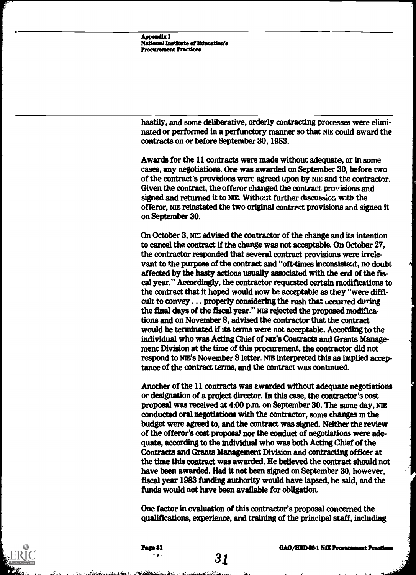Appendix I National Institute of Education'. Procurement Practices

hastily, and some deliberative, orderly contracting processes were eliminated or performed in a perfunctory manner so that NIE could award the contracts on or before September 30, 1983.

Awards for the 11 contracts were made without adequate, or in some cases, any negotiations. One was awarded on September 30, before two of the contract's provisions were agreed upon by NIE and the contractor. Given the contract, the offeror changed the contract provisions and signed and returned it to NIE. Without further discussion with the offeror. NIE reinstated the two original contract provisions and signed it on September 30.

On October 3, NIT advised the contractor of the change and its intention to cancel the contract if the change was not acceptable. On October 27, the contractor responded that several contract provisions were irrelevant to the purpose of the contract and "oft-times inconsistent, no doubt affected by the hasty actions usually associated with the end of the fiscal year." Accordingly, the contractor requested certain modifications to the contract that it hoped would now be acceptable as they "were difficult to convey . . . properly considering the rush that occurred during the final days of the fiscal year." NIE rejected the proposed modifications and on November 8, advised the contractor that the contract would be terminated if its terms were not acceptable. According to the individual who was Acting Chief of NIE'S Contracts and Grants Management Division at the time of this procurement, the contractor did not respond to NIE'S November 8 letter. NIE interpreted this as implied acceptance of the contract terms, and the contract was continued.

Another of the 11 contracts was awarded without adequate negotiations or designation of a project director. In this case, the contractor's cost proposal was received at 4:00 p.m. on September 30. The same day, NIE conducted oral negotiations with the contractor, some changes in the budget were agreed to, and the contract was signed. Neither the review of the offeror's cost proposal nor the conduct of negotiations were adequate, according to the individual who was both Acting Chief of the Contracts and Grants Management Division and contracting officer at the time this contract was awarded. He believed the contract should not have been awarded. Had it not been signed on September 30, however, fiscal year 1983 funding authority would have lapsed, he said, and the funds would not have been available for obligation.

One factor in evaluation of this contractor's proposal concerned the qualifications, experience, and training of the principal staff, including



31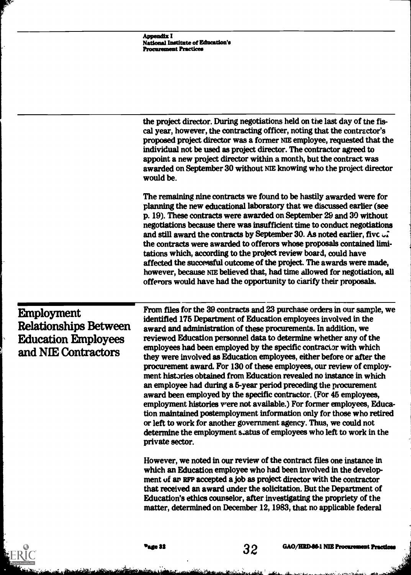|                                                                                                        | Appendix I<br><b>National Institute of Education's</b><br><b>Procurement Practices</b> |    |                                                                                                                                                                                                                                                                                                                                                                                                                                                                                                                                                                                                                                                                                                                                                                                                                                                                                                                                                                                                                              |
|--------------------------------------------------------------------------------------------------------|----------------------------------------------------------------------------------------|----|------------------------------------------------------------------------------------------------------------------------------------------------------------------------------------------------------------------------------------------------------------------------------------------------------------------------------------------------------------------------------------------------------------------------------------------------------------------------------------------------------------------------------------------------------------------------------------------------------------------------------------------------------------------------------------------------------------------------------------------------------------------------------------------------------------------------------------------------------------------------------------------------------------------------------------------------------------------------------------------------------------------------------|
|                                                                                                        | would be.                                                                              |    | the project director. During negotiations held on the last day of the fis-<br>cal year, however, the contracting officer, noting that the contractor's<br>proposed project director was a former NIE employee, requested that the<br>individual not be used as project director. The contractor agreed to<br>appoint a new project director within a month, but the contract was<br>awarded on September 30 without NIE knowing who the project director                                                                                                                                                                                                                                                                                                                                                                                                                                                                                                                                                                     |
|                                                                                                        |                                                                                        |    | The remaining nine contracts we found to be hastily awarded were for<br>planning the new educational laboratory that we discussed earlier (see<br>p. 19). These contracts were awarded on September 29 and 30 without<br>negotiations because there was insufficient time to conduct negotiations<br>and still award the contracts by September 30. As noted earlier, five $\sqrt{2}$<br>the contracts were awarded to offerors whose proposals contained limi-<br>tations which, according to the project review board, could have<br>affected the successful outcome of the project. The awards were made,<br>however, because NIE believed that, had time allowed for negotiation, all<br>offerors would have had the opportunity to ciarify their proposals.                                                                                                                                                                                                                                                             |
| <b>Employment</b><br><b>Relationships Between</b><br><b>Education Employees</b><br>and NIE Contractors | private sector.                                                                        |    | From files for the 39 contracts and 23 purchase orders in our sample, we<br>identified 175 Department of Education employees involved in the<br>award and administration of these procurements. In addition, we<br>reviewed Education personnel data to determine whether any of the<br>employees had been employed by the specific contractor with which<br>they were involved as Education employees, either before or after the<br>procurement award. For 130 of these employees, our review of employ-<br>ment histories obtained from Education revealed no instance in which<br>an employee had during a 5-year period preceding the procurement<br>award been employed by the specific contractor. (For 45 employees,<br>employment histories were not available.) For former employees, Educa-<br>tion maintained postemployment information only for those who retired<br>or left to work for another government agency. Thus, we could not<br>determine the employment status of employees who left to work in the |
|                                                                                                        |                                                                                        |    | However, we noted in our review of the contract files one instance in<br>which an Education employee who had been involved in the develop-<br>ment of an RFP accepted a job as project director with the contractor<br>that received an award under the solicitation. But the Department of<br>Education's ethics counselor, after investigating the propriety of the<br>matter, determined on December 12, 1983, that no applicable federal                                                                                                                                                                                                                                                                                                                                                                                                                                                                                                                                                                                 |
|                                                                                                        | 'age 32                                                                                | 32 | <b>GAO/HRD-86-1 NIE Procurement Practice</b>                                                                                                                                                                                                                                                                                                                                                                                                                                                                                                                                                                                                                                                                                                                                                                                                                                                                                                                                                                                 |

**Branch** 

ni sai y Annibio Meirice Marin Marin Martin a banca i ginn agus connaith sé an an Andria an

 $4.491$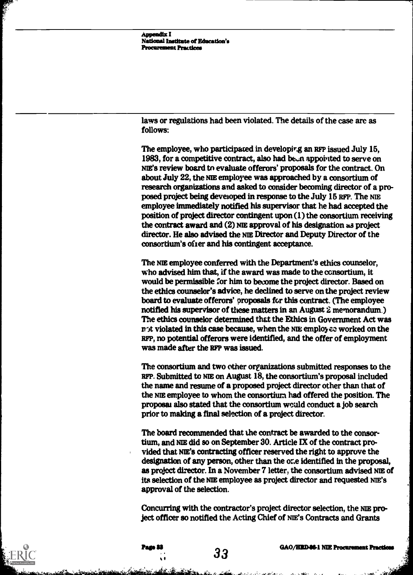Appendix I National Institute of Education's Procurement Practices

laws or regulations had been violated. The details of the case are as follows:

The employee, who participated in developir.g an RFP issued July 15, 1983, for a competitive contract, also had been appointed to serve on N1E'S review board to evaluate offerors' proposals for the contract. On about July 22, the NIE employee was approached by a consortium of research organizations and asked to consider becoming director of a proposed project being developed in response to the July 16 RFP. The NIE employee immediately notified his supervisor that he had accepted the position of project director contingent upon (1) the consortium receiving the contract award and (2) ME approval of his designation a3 project director. He also advised the NIE Director and Deputy Director of the consortium's offer and his contingent acceptance.

The NIE employee conferred with the Department's ethics counselor, who advised him that, if the award was made to the consortium, it would be permissible for him to become the project director. Based on the ethics counselor's advice, he declined to serve on the project review board to evaluate offerors' proposals for this contract. (The employee notified his supervisor of these matters in an August 2 memorandum) The ethics counselor determined that the Ethics in Government Act was not violated in this case because, when the NIE employee worked on the RFP, no potential offerors were identified, and the offer of employment was made after the RFP was issued.

The consortium and two other organizations submitted responses to the RFP. Submitted to ME on August 18, the consortium's proposal included the name and resume of a proposed project director other than that of the NIE employee to whom the consortium had offered the position. The proposal also stated that the consortium would conduct a job search prior to malting a final selection of a project director.

The board recommended that the contract be awarded to the consortium, and NIE did so on September 30. Article IX of the contract provided that NE's contracting officer reserved the right to approve the designation of any person, other than the or.e identified in the proposal, as project director. In a November 7 letter, the consortium advised NIE of its selection of the NIE employee as project director and requested NIE'S approval of the selection.

Concurring with the contractor's project director selection, the NIE project officer so notified the Acting Chief of NIE's Contracts and Grants

33

. . .